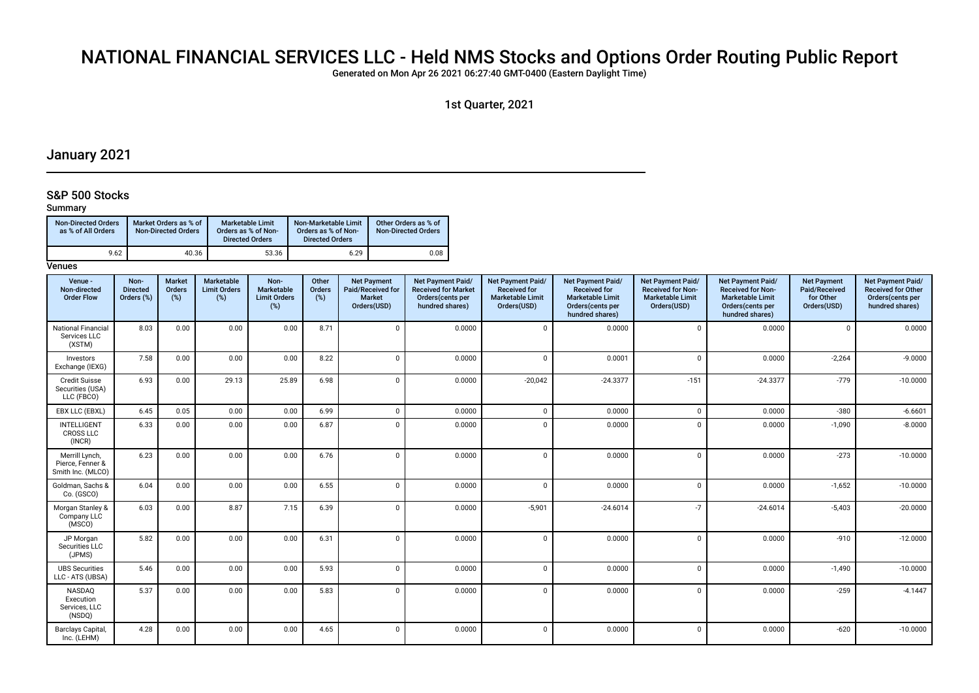## NATIONAL FINANCIAL SERVICES LLC - Held NMS Stocks and Options Order Routing Public Report

Generated on Mon Apr 26 2021 06:27:40 GMT-0400 (Eastern Daylight Time)

1st Quarter, 2021

## January 2021

## S&P 500 Stocks

## Summary

| <b>Non-Directed Orders</b><br>as % of All Orders | Market Orders as % of<br><b>Non-Directed Orders</b> | Marketable Limit<br>Orders as % of Non-<br><b>Directed Orders</b> | Non-Marketable Limit<br>Orders as % of Non-<br><b>Directed Orders</b> | Other Orders as % of<br><b>Non-Directed Orders</b> |
|--------------------------------------------------|-----------------------------------------------------|-------------------------------------------------------------------|-----------------------------------------------------------------------|----------------------------------------------------|
| 9.62                                             | 40.36                                               | 53.36                                                             | 6.29                                                                  | 0.08                                               |

| Venue -<br>Non-directed<br><b>Order Flow</b>            | Non-<br><b>Directed</b><br>Orders (%) | <b>Market</b><br>Orders<br>(%) | Marketable<br><b>Limit Orders</b><br>$(\%)$ | Non-<br>Marketable<br><b>Limit Orders</b><br>(%) | Other<br>Orders<br>(%) | <b>Net Payment</b><br>Paid/Received for<br><b>Market</b><br>Orders(USD) | <b>Net Payment Paid/</b><br><b>Received for Market</b><br>Orders(cents per<br>hundred shares) | Net Payment Paid/<br><b>Received for</b><br><b>Marketable Limit</b><br>Orders(USD) | <b>Net Payment Paid/</b><br><b>Received for</b><br><b>Marketable Limit</b><br>Orders(cents per<br>hundred shares) | Net Payment Paid/<br><b>Received for Non-</b><br><b>Marketable Limit</b><br>Orders(USD) | Net Payment Paid/<br><b>Received for Non-</b><br><b>Marketable Limit</b><br>Orders(cents per<br>hundred shares) | <b>Net Payment</b><br>Paid/Received<br>for Other<br>Orders(USD) | Net Payment Paid/<br><b>Received for Other</b><br>Orders(cents per<br>hundred shares) |
|---------------------------------------------------------|---------------------------------------|--------------------------------|---------------------------------------------|--------------------------------------------------|------------------------|-------------------------------------------------------------------------|-----------------------------------------------------------------------------------------------|------------------------------------------------------------------------------------|-------------------------------------------------------------------------------------------------------------------|-----------------------------------------------------------------------------------------|-----------------------------------------------------------------------------------------------------------------|-----------------------------------------------------------------|---------------------------------------------------------------------------------------|
| <b>National Financial</b><br>Services LLC<br>(XSTM)     | 8.03                                  | 0.00                           | 0.00                                        | 0.00                                             | 8.71                   | $\Omega$                                                                | 0.0000                                                                                        | $\mathbf 0$                                                                        | 0.0000                                                                                                            | $\Omega$                                                                                | 0.0000                                                                                                          | $\Omega$                                                        | 0.0000                                                                                |
| Investors<br>Exchange (IEXG)                            | 7.58                                  | 0.00                           | 0.00                                        | 0.00                                             | 8.22                   | $\Omega$                                                                | 0.0000                                                                                        | $\Omega$                                                                           | 0.0001                                                                                                            | $\Omega$                                                                                | 0.0000                                                                                                          | $-2,264$                                                        | $-9.0000$                                                                             |
| <b>Credit Suisse</b><br>Securities (USA)<br>LLC (FBCO)  | 6.93                                  | 0.00                           | 29.13                                       | 25.89                                            | 6.98                   | $\Omega$                                                                | 0.0000                                                                                        | $-20,042$                                                                          | $-24.3377$                                                                                                        | $-151$                                                                                  | $-24.3377$                                                                                                      | $-779$                                                          | $-10.0000$                                                                            |
| EBX LLC (EBXL)                                          | 6.45                                  | 0.05                           | 0.00                                        | 0.00                                             | 6.99                   | $\Omega$                                                                | 0.0000                                                                                        | $\mathbf 0$                                                                        | 0.0000                                                                                                            | $\Omega$                                                                                | 0.0000                                                                                                          | $-380$                                                          | $-6.6601$                                                                             |
| INTELLIGENT<br><b>CROSS LLC</b><br>(INCR)               | 6.33                                  | 0.00                           | 0.00                                        | 0.00                                             | 6.87                   | $\Omega$                                                                | 0.0000                                                                                        | $\Omega$                                                                           | 0.0000                                                                                                            | $\Omega$                                                                                | 0.0000                                                                                                          | $-1,090$                                                        | $-8.0000$                                                                             |
| Merrill Lynch.<br>Pierce, Fenner &<br>Smith Inc. (MLCO) | 6.23                                  | 0.00                           | 0.00                                        | 0.00                                             | 6.76                   | $\Omega$                                                                | 0.0000                                                                                        | $\Omega$                                                                           | 0.0000                                                                                                            | $\Omega$                                                                                | 0.0000                                                                                                          | $-273$                                                          | $-10.0000$                                                                            |
| Goldman, Sachs &<br>Co. (GSCO)                          | 6.04                                  | 0.00                           | 0.00                                        | 0.00                                             | 6.55                   | $\Omega$                                                                | 0.0000                                                                                        | $\mathbf 0$                                                                        | 0.0000                                                                                                            | $\Omega$                                                                                | 0.0000                                                                                                          | $-1,652$                                                        | $-10.0000$                                                                            |
| Morgan Stanley &<br>Company LLC<br>(MSCO)               | 6.03                                  | 0.00                           | 8.87                                        | 7.15                                             | 6.39                   | $\Omega$                                                                | 0.0000                                                                                        | $-5,901$                                                                           | $-24.6014$                                                                                                        | $-7$                                                                                    | $-24.6014$                                                                                                      | $-5,403$                                                        | $-20.0000$                                                                            |
| JP Morgan<br>Securities LLC<br>(JPMS)                   | 5.82                                  | 0.00                           | 0.00                                        | 0.00                                             | 6.31                   | $\Omega$                                                                | 0.0000                                                                                        | $\Omega$                                                                           | 0.0000                                                                                                            | $\Omega$                                                                                | 0.0000                                                                                                          | $-910$                                                          | $-12.0000$                                                                            |
| <b>UBS Securities</b><br>LLC - ATS (UBSA)               | 5.46                                  | 0.00                           | 0.00                                        | 0.00                                             | 5.93                   | $\Omega$                                                                | 0.0000                                                                                        | $\Omega$                                                                           | 0.0000                                                                                                            | $\Omega$                                                                                | 0.0000                                                                                                          | $-1,490$                                                        | $-10.0000$                                                                            |
| <b>NASDAO</b><br>Execution<br>Services, LLC<br>(NSDQ)   | 5.37                                  | 0.00                           | 0.00                                        | 0.00                                             | 5.83                   | $\Omega$                                                                | 0.0000                                                                                        | $\Omega$                                                                           | 0.0000                                                                                                            | $\Omega$                                                                                | 0.0000                                                                                                          | $-259$                                                          | $-4.1447$                                                                             |
| <b>Barclays Capital</b><br>Inc. (LEHM)                  | 4.28                                  | 0.00                           | 0.00                                        | 0.00                                             | 4.65                   | $\Omega$                                                                | 0.0000                                                                                        | $\Omega$                                                                           | 0.0000                                                                                                            | $\Omega$                                                                                | 0.0000                                                                                                          | $-620$                                                          | $-10.0000$                                                                            |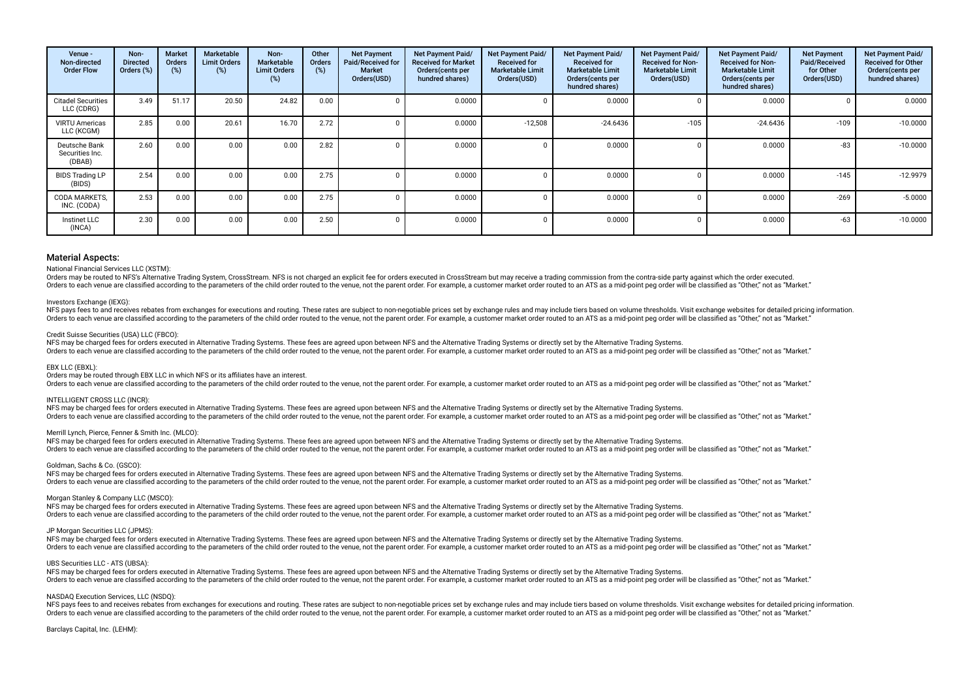| Venue -<br>Non-directed<br><b>Order Flow</b> | Non-<br><b>Directed</b><br>Orders (%) | <b>Market</b><br>Orders<br>(%) | Marketable<br><b>Limit Orders</b><br>(%) | Non-<br><b>Marketable</b><br><b>Limit Orders</b><br>(%) | Other<br><b>Orders</b><br>(%) | <b>Net Payment</b><br>Paid/Received for<br><b>Market</b><br>Orders(USD) | Net Payment Paid/<br><b>Received for Market</b><br>Orders(cents per<br>hundred shares) | <b>Net Payment Paid/</b><br><b>Received for</b><br><b>Marketable Limit</b><br>Orders(USD) | Net Payment Paid/<br><b>Received for</b><br><b>Marketable Limit</b><br>Orders (cents per<br>hundred shares) | <b>Net Payment Paid/</b><br><b>Received for Non-</b><br><b>Marketable Limit</b><br>Orders(USD) | <b>Net Payment Paid/</b><br><b>Received for Non-</b><br><b>Marketable Limit</b><br>Orders (cents per<br>hundred shares) | <b>Net Payment</b><br>Paid/Received<br>for Other<br>Orders(USD) | <b>Net Payment Paid/</b><br><b>Received for Other</b><br>Orders(cents per<br>hundred shares) |
|----------------------------------------------|---------------------------------------|--------------------------------|------------------------------------------|---------------------------------------------------------|-------------------------------|-------------------------------------------------------------------------|----------------------------------------------------------------------------------------|-------------------------------------------------------------------------------------------|-------------------------------------------------------------------------------------------------------------|------------------------------------------------------------------------------------------------|-------------------------------------------------------------------------------------------------------------------------|-----------------------------------------------------------------|----------------------------------------------------------------------------------------------|
| <b>Citadel Securities</b><br>LLC (CDRG)      | 3.49                                  | 51.17                          | 20.50                                    | 24.82                                                   | 0.00                          |                                                                         | 0.0000                                                                                 | $\Omega$                                                                                  | 0.0000                                                                                                      |                                                                                                | 0.0000                                                                                                                  |                                                                 | 0.0000                                                                                       |
| <b>VIRTU Americas</b><br>LLC (KCGM)          | 2.85                                  | 0.00                           | 20.61                                    | 16.70                                                   | 2.72                          |                                                                         | 0.0000                                                                                 | $-12,508$                                                                                 | $-24.6436$                                                                                                  | $-105$                                                                                         | $-24.6436$                                                                                                              | $-109$                                                          | $-10.0000$                                                                                   |
| Deutsche Bank<br>Securities Inc.<br>(DBAB)   | 2.60                                  | 0.00                           | 0.00                                     | 0.00                                                    | 2.82                          |                                                                         | 0.0000                                                                                 | -0                                                                                        | 0.0000                                                                                                      |                                                                                                | 0.0000                                                                                                                  | $-83$                                                           | $-10.0000$                                                                                   |
| <b>BIDS Trading LP</b><br>(BIDS)             | 2.54                                  | 0.00                           | 0.00                                     | 0.00                                                    | 2.75                          |                                                                         | 0.0000                                                                                 | -0                                                                                        | 0.0000                                                                                                      |                                                                                                | 0.0000                                                                                                                  | $-145$                                                          | $-12.9979$                                                                                   |
| <b>CODA MARKETS.</b><br>INC. (CODA)          | 2.53                                  | 0.00                           | 0.00                                     | 0.00                                                    | 2.75                          |                                                                         | 0.0000                                                                                 |                                                                                           | 0.0000                                                                                                      |                                                                                                | 0.0000                                                                                                                  | $-269$                                                          | $-5.0000$                                                                                    |
| Instinet LLC<br>(INCA)                       | 2.30                                  | 0.00                           | 0.00                                     | 0.00                                                    | 2.50                          |                                                                         | 0.0000                                                                                 |                                                                                           | 0.0000                                                                                                      |                                                                                                | 0.0000                                                                                                                  | $-63$                                                           | $-10.0000$                                                                                   |

## National Financial Services LLC (XSTM):

Orders may be routed to NFS's Alternative Trading System, CrossStream. NFS is not charged an explicit fee for orders executed in CrossStream but may receive a trading commission from the contra-side party against which the Orders to each venue are classified according to the parameters of the child order routed to the venue, not the parent order. For example, a customer market order routed to an ATS as a mid-point peg order will be classifie

## Investors Exchange (IEXG):

NES navs fees to and receives rebates from exchanges for executions and routing. These rates are subject to non-negotiable prices set by exchange rules and may include tiers based on yolume thresholds. Visit exchange websi Orders to each venue are classified according to the parameters of the child order routed to the venue, not the parent order. For example, a customer market order routed to an ATS as a mid-point peg order will be classifie

#### Credit Suisse Securities (USA) LLC (FBCO):

NFS may be charged fees for orders executed in Alternative Trading Systems. These fees are agreed upon between NFS and the Alternative Trading Systems or directly set by the Alternative Trading Systems or directly set by t Orders to each venue are classified according to the parameters of the child order routed to the venue, not the parent order. For example, a customer market order routed to an ATS as a mid-point peg order will be classifie

#### EBX LLC (EBXL):

Orders may be routed through EBX LLC in which NFS or its affiliates have an interest.

Orders to each venue are classified according to the parameters of the child order routed to the venue, not the parent order. For example, a customer market order routed to an ATS as a mid-point peg order will be classifie

## INTELLIGENT CROSS LLC (INCR):

NFS may be charged fees for orders executed in Alternative Trading Systems. These fees are agreed upon between NFS and the Alternative Trading Systems or directly set by the Alternative Trading Systems. Orders to each venue are classified according to the parameters of the child order routed to the venue, not the parent order. For example, a customer market order routed to an ATS as a mid-point peg order will be classifie

## Merrill Lynch, Pierce, Fenner & Smith Inc. (MLCO):

NFS may be charged fees for orders executed in Alternative Trading Systems. These fees are agreed upon between NFS and the Alternative Trading Systems or directly set by the Alternative Trading Systems. Orders to each venue are classified according to the parameters of the child order routed to the venue, not the parent order. For example, a customer market order routed to an ATS as a mid-point peg order will be classifie

#### Goldman, Sachs & Co. (GSCO):

NFS may be charged fees for orders executed in Alternative Trading Systems. These fees are agreed upon between NFS and the Alternative Trading Systems or directly set by the Alternative Trading Systems. Orders to each venue are classified according to the parameters of the child order routed to the venue, not the parent order. For example, a customer market order routed to an ATS as a mid-point peg order will be classifie

#### Morgan Stanley & Company LLC (MSCO):

NFS may be charged fees for orders executed in Alternative Trading Systems. These fees are agreed upon between NFS and the Alternative Trading Systems or directly set by the Alternative Trading Systems. Orders to each venue are classified according to the parameters of the child order routed to the venue, not the parent order. For example, a customer market order routed to an ATS as a mid-point peg order will be classifie

#### JP Morgan Securities LLC (JPMS):

NFS may be charged fees for orders executed in Alternative Trading Systems. These fees are agreed upon between NFS and the Alternative Trading Systems or directly set by the Alternative Trading Systems or directly set by t Orders to each venue are classified according to the parameters of the child order routed to the venue, not the parent order. For example, a customer market order routed to an ATS as a mid-point peg order will be classifie

#### UBS Securities LLC - ATS (UBSA):

NFS may be charged fees for orders executed in Alternative Trading Systems. These fees are agreed upon between NFS and the Alternative Trading Systems or directly set by the Alternative Trading Systems or directly set by t Orders to each venue are classified according to the parameters of the child order routed to the venue, not the parent order. For example, a customer market order routed to an ATS as a mid-point peg order will be classifie

#### NASDAQ Execution Services, LLC (NSDQ):

NFS pays fees to and receives rebates from exchanges for executions and routing. These rates are subject to non-negotiable prices set by exchange rules and may include tiers based on volume thresholds. Visit exchange websi The parameters of the child order to the way to the present of the child order to the water of the water of the parent order. For example a customer market order routed to an ATS as a mid-point peo order will be classified

Barclays Capital, Inc. (LEHM):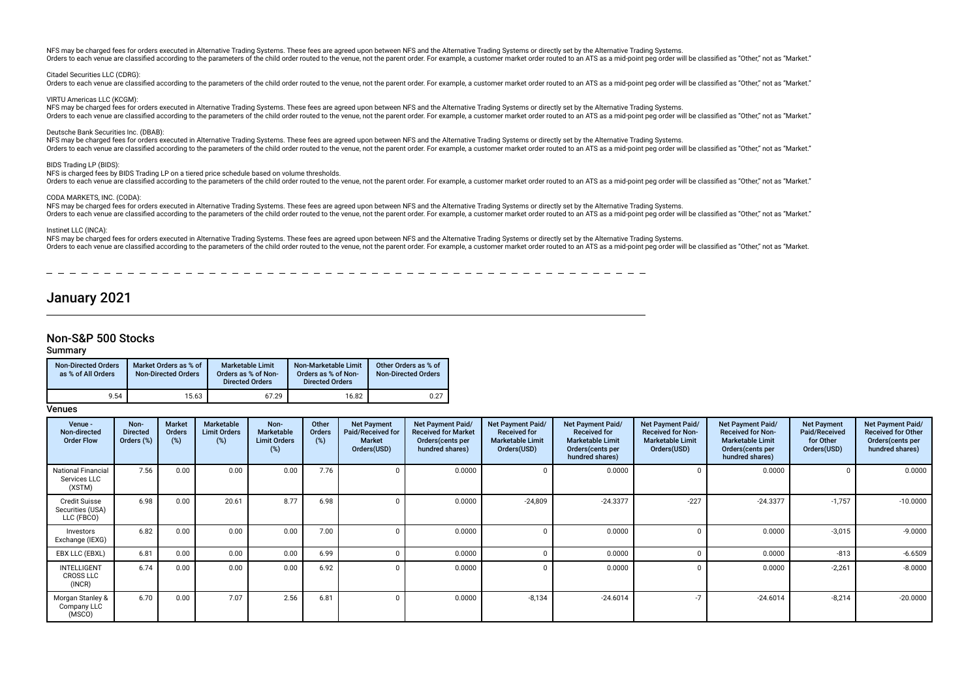NFS may be charged fees for orders executed in Alternative Trading Systems. These fees are agreed upon between NFS and the Alternative Trading Systems or directly set by the Alternative Trading Systems. Orders to each venue are classified according to the parameters of the child order routed to the venue, not the parent order. For example, a customer market order routed to an ATS as a mid-point peg order will be classifie

## Citadel Securities LLC (CDRG):

Orders to each venue are classified according to the parameters of the child order routed to the venue, not the parent order. For example, a customer market order routed to an ATS as a mid-point peg order will be classifie

VIRTU Americas LLC (KCGM):

NFS may be charged fees for orders executed in Alternative Trading Systems. These fees are agreed upon between NFS and the Alternative Trading Systems or directly set by the Alternative Trading Systems. Orders to each venue are classified according to the parameters of the child order routed to the venue, not the parent order. For example, a customer market order routed to an ATS as a mid-point peg order will be classifie

### Deutsche Bank Securities Inc. (DBAB):

NFS may be charged fees for orders executed in Alternative Trading Systems. These fees are agreed upon between NFS and the Alternative Trading Systems or directly set by the Alternative Trading Systems. Orders to each venue are classified according to the parameters of the child order routed to the venue, not the parent order. For example, a customer market order routed to an ATS as a mid-point peg order will be classifie

## BIDS Trading LP (BIDS):

## NFS is charged fees by BIDS Trading LP on a tiered price schedule based on volume thresholds.

Orders to each venue are classified according to the parameters of the child order routed to the venue, not the parent order. For example, a customer market order routed to an ATS as a mid-point peg order will be classifie

## CODA MARKETS, INC. (CODA):

NFS may be charged fees for orders executed in Alternative Trading Systems. These fees are agreed upon between NFS and the Alternative Trading Systems or directly set by the Alternative Trading Systems. Orders to each venue are classified according to the parameters of the child order routed to the venue, not the parent order. For example, a customer market order routed to an ATS as a mid-point peg order will be classifie

## Instinet LLC (INCA):

NFS may be charged fees for orders executed in Alternative Trading Systems. These fees are agreed upon between NFS and the Alternative Trading Systems or directly set by the Alternative Trading Systems or directly set by t Orders to each venue are classified according to the parameters of the child order routed to the venue, not the parent order. For example, a customer market order routed to an ATS as a mid-point peg order will be classifie

# January 2021

## Non-S&P 500 Stocks

## Summary

| Non-Directed Orders<br>as % of All Orders | Market Orders as % of<br><b>Non-Directed Orders</b> | <b>Marketable Limit</b><br>Orders as % of Non-<br><b>Directed Orders</b> | Non-Marketable Limit<br>Orders as % of Non-<br><b>Directed Orders</b> | Other Orders as % of<br><b>Non-Directed Orders</b> |
|-------------------------------------------|-----------------------------------------------------|--------------------------------------------------------------------------|-----------------------------------------------------------------------|----------------------------------------------------|
| 9.54                                      | 15.63                                               | 67.29                                                                    | 16.82                                                                 | 0.27                                               |

| Venue -<br>Non-directed<br><b>Order Flow</b>           | Non-<br><b>Directed</b><br>Orders (%) | <b>Market</b><br>Orders<br>(%) | Marketable<br><b>Limit Orders</b><br>$(\%)$ | Non-<br><b>Marketable</b><br><b>Limit Orders</b><br>(%) | Other<br><b>Orders</b><br>(%) | <b>Net Payment</b><br>Paid/Received for<br><b>Market</b><br>Orders(USD) | Net Payment Paid/<br><b>Received for Market</b><br>Orders (cents per<br>hundred shares) | <b>Net Payment Paid/</b><br><b>Received for</b><br><b>Marketable Limit</b><br>Orders(USD) | Net Payment Paid/<br><b>Received for</b><br><b>Marketable Limit</b><br>Orders (cents per<br>hundred shares) | Net Payment Paid/<br><b>Received for Non-</b><br><b>Marketable Limit</b><br>Orders(USD) | Net Payment Paid/<br><b>Received for Non-</b><br><b>Marketable Limit</b><br>Orders (cents per<br>hundred shares) | <b>Net Payment</b><br>Paid/Received<br>for Other<br>Orders(USD) | Net Payment Paid/<br><b>Received for Other</b><br>Orders(cents per<br>hundred shares) |
|--------------------------------------------------------|---------------------------------------|--------------------------------|---------------------------------------------|---------------------------------------------------------|-------------------------------|-------------------------------------------------------------------------|-----------------------------------------------------------------------------------------|-------------------------------------------------------------------------------------------|-------------------------------------------------------------------------------------------------------------|-----------------------------------------------------------------------------------------|------------------------------------------------------------------------------------------------------------------|-----------------------------------------------------------------|---------------------------------------------------------------------------------------|
| <b>National Financial</b><br>Services LLC<br>(XSTM)    | 7.56                                  | 0.00                           | 0.00                                        | 0.00                                                    | 7.76                          |                                                                         | 0.0000                                                                                  | $\Omega$                                                                                  | 0.0000                                                                                                      |                                                                                         | 0.0000                                                                                                           |                                                                 | 0.0000                                                                                |
| <b>Credit Suisse</b><br>Securities (USA)<br>LLC (FBCO) | 6.98                                  | 0.00                           | 20.61                                       | 8.77                                                    | 6.98                          |                                                                         | 0.0000                                                                                  | $-24,809$                                                                                 | $-24.3377$                                                                                                  | $-227$                                                                                  | $-24.3377$                                                                                                       | $-1,757$                                                        | $-10.0000$                                                                            |
| Investors<br>Exchange (IEXG)                           | 6.82                                  | 0.00                           | 0.00                                        | 0.00                                                    | 7.00                          | $\Omega$                                                                | 0.0000                                                                                  | $\Omega$                                                                                  | 0.0000                                                                                                      |                                                                                         | 0.0000                                                                                                           | $-3,015$                                                        | $-9.0000$                                                                             |
| EBX LLC (EBXL)                                         | 6.81                                  | 0.00                           | 0.00                                        | 0.00                                                    | 6.99                          |                                                                         | 0.0000                                                                                  | n                                                                                         | 0.0000                                                                                                      |                                                                                         | 0.0000                                                                                                           | $-813$                                                          | $-6.6509$                                                                             |
| <b>INTELLIGENT</b><br><b>CROSS LLC</b><br>(INCR)       | 6.74                                  | 0.00                           | 0.00                                        | 0.00                                                    | 6.92                          |                                                                         | 0.0000                                                                                  | $\Omega$                                                                                  | 0.0000                                                                                                      |                                                                                         | 0.0000                                                                                                           | $-2,261$                                                        | $-8.0000$                                                                             |
| Morgan Stanley &<br>Company LLC<br>(MSCO)              | 6.70                                  | 0.00                           | 7.07                                        | 2.56                                                    | 6.81                          | $\cap$                                                                  | 0.0000                                                                                  | $-8,134$                                                                                  | $-24.6014$                                                                                                  | $-7$                                                                                    | $-24.6014$                                                                                                       | $-8,214$                                                        | $-20.0000$                                                                            |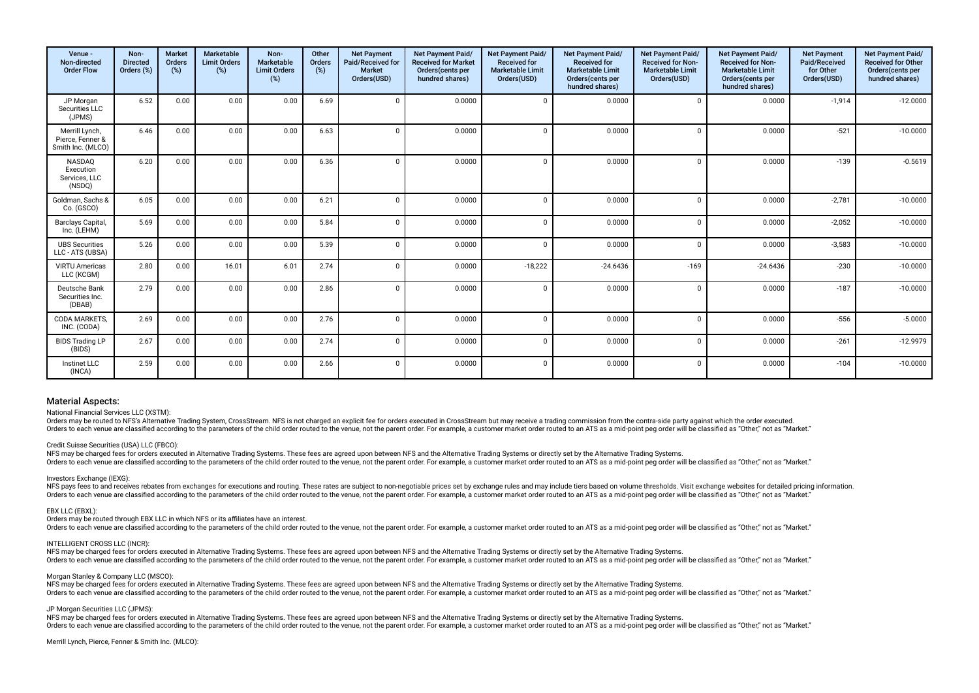| Venue -<br>Non-directed<br><b>Order Flow</b>            | Non-<br><b>Directed</b><br>Orders (%) | <b>Market</b><br>Orders<br>(%) | <b>Marketable</b><br><b>Limit Orders</b><br>(%) | Non-<br>Marketable<br><b>Limit Orders</b><br>(%) | Other<br>Orders<br>(%) | <b>Net Payment</b><br>Paid/Received for<br><b>Market</b><br>Orders(USD) | <b>Net Payment Paid/</b><br><b>Received for Market</b><br>Orders(cents per<br>hundred shares) | Net Payment Paid/<br><b>Received for</b><br><b>Marketable Limit</b><br>Orders(USD) | Net Payment Paid/<br><b>Received for</b><br><b>Marketable Limit</b><br>Orders (cents per<br>hundred shares) | Net Payment Paid/<br>Received for Non-<br><b>Marketable Limit</b><br>Orders(USD) | <b>Net Payment Paid/</b><br><b>Received for Non-</b><br><b>Marketable Limit</b><br>Orders(cents per<br>hundred shares) | <b>Net Payment</b><br>Paid/Received<br>for Other<br>Orders(USD) | Net Payment Paid/<br>Received for Other<br>Orders(cents per<br>hundred shares) |
|---------------------------------------------------------|---------------------------------------|--------------------------------|-------------------------------------------------|--------------------------------------------------|------------------------|-------------------------------------------------------------------------|-----------------------------------------------------------------------------------------------|------------------------------------------------------------------------------------|-------------------------------------------------------------------------------------------------------------|----------------------------------------------------------------------------------|------------------------------------------------------------------------------------------------------------------------|-----------------------------------------------------------------|--------------------------------------------------------------------------------|
| JP Morgan<br>Securities LLC<br>(JPMS)                   | 6.52                                  | 0.00                           | 0.00                                            | 0.00                                             | 6.69                   |                                                                         | 0.0000                                                                                        | $\mathbf{0}$                                                                       | 0.0000                                                                                                      | $\Omega$                                                                         | 0.0000                                                                                                                 | $-1,914$                                                        | $-12.0000$                                                                     |
| Merrill Lynch,<br>Pierce, Fenner &<br>Smith Inc. (MLCO) | 6.46                                  | 0.00                           | 0.00                                            | 0.00                                             | 6.63                   |                                                                         | 0.0000                                                                                        | $\Omega$                                                                           | 0.0000                                                                                                      | $\Omega$                                                                         | 0.0000                                                                                                                 | $-521$                                                          | $-10.0000$                                                                     |
| NASDAQ<br>Execution<br>Services, LLC<br>(NSDQ)          | 6.20                                  | 0.00                           | 0.00                                            | 0.00                                             | 6.36                   | $\Omega$                                                                | 0.0000                                                                                        | $\mathbf 0$                                                                        | 0.0000                                                                                                      | $\Omega$                                                                         | 0.0000                                                                                                                 | $-139$                                                          | $-0.5619$                                                                      |
| Goldman, Sachs &<br>Co. (GSCO)                          | 6.05                                  | 0.00                           | 0.00                                            | 0.00                                             | 6.21                   |                                                                         | 0.0000                                                                                        | $\Omega$                                                                           | 0.0000                                                                                                      | $\Omega$                                                                         | 0.0000                                                                                                                 | $-2,781$                                                        | $-10.0000$                                                                     |
| Barclays Capital,<br>Inc. (LEHM)                        | 5.69                                  | 0.00                           | 0.00                                            | 0.00                                             | 5.84                   | $\cap$                                                                  | 0.0000                                                                                        | $\mathbf 0$                                                                        | 0.0000                                                                                                      | $\Omega$                                                                         | 0.0000                                                                                                                 | $-2,052$                                                        | $-10.0000$                                                                     |
| <b>UBS Securities</b><br>LLC - ATS (UBSA)               | 5.26                                  | 0.00                           | 0.00                                            | 0.00                                             | 5.39                   | n                                                                       | 0.0000                                                                                        | $\Omega$                                                                           | 0.0000                                                                                                      | $\Omega$                                                                         | 0.0000                                                                                                                 | $-3,583$                                                        | $-10.0000$                                                                     |
| <b>VIRTU Americas</b><br>LLC (KCGM)                     | 2.80                                  | 0.00                           | 16.01                                           | 6.01                                             | 2.74                   | $\Omega$                                                                | 0.0000                                                                                        | $-18,222$                                                                          | $-24.6436$                                                                                                  | $-169$                                                                           | $-24.6436$                                                                                                             | $-230$                                                          | $-10.0000$                                                                     |
| Deutsche Bank<br>Securities Inc.<br>(DBAB)              | 2.79                                  | 0.00                           | 0.00                                            | 0.00                                             | 2.86                   |                                                                         | 0.0000                                                                                        | $\overline{0}$                                                                     | 0.0000                                                                                                      | $\Omega$                                                                         | 0.0000                                                                                                                 | $-187$                                                          | $-10.0000$                                                                     |
| CODA MARKETS.<br>INC. (CODA)                            | 2.69                                  | 0.00                           | 0.00                                            | 0.00                                             | 2.76                   |                                                                         | 0.0000                                                                                        | $\Omega$                                                                           | 0.0000                                                                                                      | $\Omega$                                                                         | 0.0000                                                                                                                 | $-556$                                                          | $-5.0000$                                                                      |
| <b>BIDS Trading LP</b><br>(BIDS)                        | 2.67                                  | 0.00                           | 0.00                                            | 0.00                                             | 2.74                   |                                                                         | 0.0000                                                                                        | $\Omega$                                                                           | 0.0000                                                                                                      | $\Omega$                                                                         | 0.0000                                                                                                                 | $-261$                                                          | $-12.9979$                                                                     |
| Instinet LLC<br>(INCA)                                  | 2.59                                  | 0.00                           | 0.00                                            | 0.00                                             | 2.66                   | $\sqrt{2}$                                                              | 0.0000                                                                                        | $\mathbf 0$                                                                        | 0.0000                                                                                                      | $\Omega$                                                                         | 0.0000                                                                                                                 | $-104$                                                          | $-10.0000$                                                                     |

National Financial Services LLC (XSTM):

Orders may be routed to NES's Alternative Trading System. CrossStream NES is not charged an explicit fee for orders executed in CrossStream but may receive a trading commission from the contra-side party against which the Orders to each venue are classified according to the parameters of the child order routed to the venue, not the parent order. For example, a customer market order routed to an ATS as a mid-point peg order will be classifie

## Credit Suisse Securities (USA) LLC (FBCO):

NFS may be charged fees for orders executed in Alternative Trading Systems. These fees are agreed upon between NFS and the Alternative Trading Systems or directly set by the Alternative Trading Systems or directly set by t Orders to each venue are classified according to the parameters of the child order routed to the venue, not the parent order. For example, a customer market order routed to an ATS as a mid-point peq order will be classifie

### Investors Exchange (IEXG):

NFS pays fees to and receives rebates from exchanges for executions and routing. These rates are subject to non-negotiable prices set by exchange rules and may include tiers based on volume thresholds. Visit exchange websi Orders to each venue are classified according to the parameters of the child order routed to the venue, not the parent order. For example, a customer market order routed to an ATS as a mid-point peg order will be classifie

### EBX LLC (EBXL):

Orders may be routed through EBX LLC in which NFS or its affiliates have an interest.

Orders to each venue are classified according to the parameters of the child order routed to the venue, not the parent order. For example, a customer market order routed to an ATS as a mid-point peg order will be classifie

## INTELLIGENT CROSS LLC (INCR):

NFS may be charged fees for orders executed in Alternative Trading Systems. These fees are agreed upon between NFS and the Alternative Trading Systems or directly set by the Alternative Trading Systems or directly set by t Orders to each venue are classified according to the parameters of the child order routed to the venue, not the parent order. For example, a customer market order routed to an ATS as a mid-point peg order will be classifie

## Morgan Stanley & Company LLC (MSCO):

NFS may be charged fees for orders executed in Alternative Trading Systems. These fees are agreed upon between NFS and the Alternative Trading Systems or directly set by the Alternative Trading Systems or directly set by t Orders to each venue are classified according to the parameters of the child order routed to the venue, not the parent order. For example, a customer market order routed to an ATS as a mid-point peq order will be classifie

### JP Morgan Securities LLC (JPMS):

NFS may be charged fees for orders executed in Alternative Trading Systems. These fees are agreed upon between NFS and the Alternative Trading Systems or directly set by the Alternative Trading Systems. Orders to each venue are classified according to the parameters of the child order routed to the venue, not the parent order. For example, a customer market order routed to an ATS as a mid-point peg order will be classifie

Merrill Lynch, Pierce, Fenner & Smith Inc. (MLCO):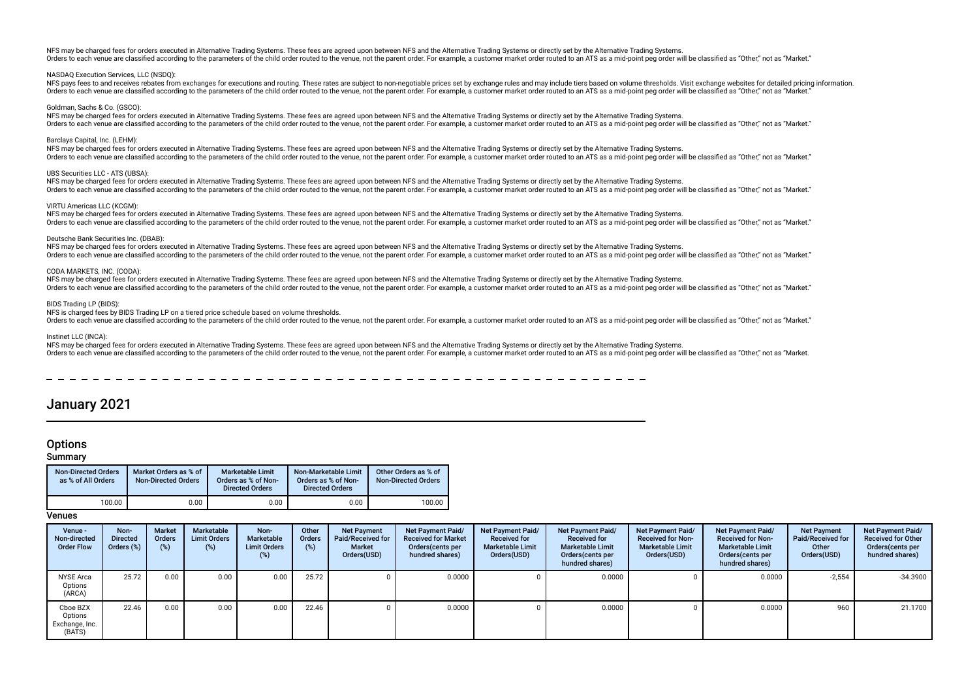NFS may be charged fees for orders executed in Alternative Trading Systems. These fees are agreed upon between NFS and the Alternative Trading Systems or directly set by the Alternative Trading Systems. Orders to each venue are classified according to the parameters of the child order routed to the venue, not the parent order. For example, a customer market order routed to an ATS as a mid-noint peg order will be classifie

## NASDAQ Execution Services, LLC (NSDQ):

NFS pays fees to and receives rebates from exchanges for executions and routing. These rates are subject to non-negotiable prices set by exchange rules and may include tiers based on yolume thresholds. Visit exchange websi Orders to each venue are classified according to the parameters of the child order routed to the venue, not the parent order. For example, a customer market order routed to an ATS as a mid-point peg order will be classifie

## Goldman, Sachs & Co. (GSCO):

NFS may be charged fees for orders executed in Alternative Trading Systems. These fees are agreed upon between NFS and the Alternative Trading Systems or directly set by the Alternative Trading Systems. Orders to each venue are classified according to the parameters of the child order routed to the venue, not the parent order. For example, a customer market order routed to an ATS as a mid-point peg order will be classifie

## Barclays Capital, Inc. (LEHM):

NFS may be charged fees for orders executed in Alternative Trading Systems. These fees are agreed upon between NFS and the Alternative Trading Systems or directly set by the Alternative Trading Systems. Orders to each venue are classified according to the parameters of the child order routed to the venue, not the parent order. For example, a customer market order routed to an ATS as a mid-point peg order will be classifie

## UBS Securities LLC - ATS (UBSA):

NFS may be charged fees for orders executed in Alternative Trading Systems. These fees are agreed upon between NFS and the Alternative Trading Systems or directly set by the Alternative Trading Systems. Orders to each venue are classified according to the parameters of the child order routed to the venue, not the parent order. For example, a customer market order routed to an ATS as a mid-point peg order will be classifie

## VIRTU Americas LLC (KCGM):

NFS may be charged fees for orders executed in Alternative Trading Systems. These fees are agreed upon between NFS and the Alternative Trading Systems or directly set by the Alternative Trading Systems or directly set by t Orders to each venue are classified according to the parameters of the child order routed to the venue, not the parent order. For example, a customer market order routed to an ATS as a mid-point peg order will be classifie

## Deutsche Bank Securities Inc. (DBAB):

NFS may be charged fees for orders executed in Alternative Trading Systems. These fees are agreed upon between NFS and the Alternative Trading Systems or directly set by the Alternative Trading Systems. Orders to each venue are classified according to the parameters of the child order routed to the venue, not the parent order. For example, a customer market order routed to an ATS as a mid-noint peg order will be classifie

### CODA MARKETS, INC. (CODA):

NFS may be charged fees for orders executed in Alternative Trading Systems. These fees are agreed upon between NFS and the Alternative Trading Systems or directly set by the Alternative Trading Systems. Orders to each venue are classified according to the parameters of the child order routed to the venue, not the parent order. For example, a customer market order routed to an ATS as a mid-point peg order will be classifie

## BIDS Trading LP (BIDS)

## NFS is charged fees by BIDS Trading LP on a tiered price schedule based on volume thresholds.

Orders to each venue are classified according to the parameters of the child order routed to the venue, not the parent order. For example, a customer market order routed to an ATS as a mid-point peg order will be classifie

## Instinet LLC (INCA):

NFS may be charged fees for orders executed in Alternative Trading Systems. These fees are agreed upon between NFS and the Alternative Trading Systems or directly set by the Alternative Trading Systems. Orders to each venue are classified according to the parameters of the child order routed to the yenue, not the parent order. For example, a customer market order routed to an ATS as a mid-point peg order will be classifie

## January 2021

## **Options**

## Summary

| <b>Non-Directed Orders</b><br>as % of All Orders | Market Orders as % of<br><b>Non-Directed Orders</b> | Marketable Limit<br>Orders as % of Non-<br><b>Directed Orders</b> | Non-Marketable Limit<br>Orders as % of Non-<br><b>Directed Orders</b> | Other Orders as % of<br><b>Non-Directed Orders</b> |
|--------------------------------------------------|-----------------------------------------------------|-------------------------------------------------------------------|-----------------------------------------------------------------------|----------------------------------------------------|
| 100.00                                           | 0.00                                                | 0.00                                                              | 0.00                                                                  | 100.00                                             |

| Venue -<br>Non-directed<br><b>Order Flow</b>    | Non-<br><b>Directed</b><br>Orders (%) | <b>Market</b><br>Orders<br>(%) | Marketable<br><b>Limit Orders</b><br>(%) | Non-<br>Marketable<br><b>Limit Orders</b><br>$(\%)$ | Other<br>Orders<br>(%) | <b>Net Payment</b><br>Paid/Received for<br><b>Market</b><br>Orders(USD) | Net Payment Paid/<br><b>Received for Market</b><br>Orders (cents per<br>hundred shares) | Net Payment Paid/<br><b>Received for</b><br><b>Marketable Limit</b><br>Orders(USD) | Net Payment Paid/<br><b>Received for</b><br><b>Marketable Limit</b><br>Orders (cents per<br>hundred shares) | Net Payment Paid/<br><b>Received for Non-</b><br><b>Marketable Limit</b><br>Orders(USD) | <b>Net Payment Paid/</b><br><b>Received for Non-</b><br><b>Marketable Limit</b><br>Orders (cents per<br>hundred shares) | <b>Net Payment</b><br>Paid/Received for<br>Other<br>Orders(USD) | Net Payment Paid/<br><b>Received for Other</b><br>Orders (cents per<br>hundred shares) |
|-------------------------------------------------|---------------------------------------|--------------------------------|------------------------------------------|-----------------------------------------------------|------------------------|-------------------------------------------------------------------------|-----------------------------------------------------------------------------------------|------------------------------------------------------------------------------------|-------------------------------------------------------------------------------------------------------------|-----------------------------------------------------------------------------------------|-------------------------------------------------------------------------------------------------------------------------|-----------------------------------------------------------------|----------------------------------------------------------------------------------------|
| NYSE Arca<br>Options<br>(ARCA)                  | 25.72                                 | 0.00                           | 0.00                                     | 0.00                                                | 25.72                  |                                                                         | 0.0000                                                                                  |                                                                                    | 0.0000                                                                                                      |                                                                                         | 0.0000                                                                                                                  | $-2,554$                                                        | $-34.3900$                                                                             |
| Cboe BZX<br>Options<br>Exchange, Inc.<br>(BATS) | 22.46                                 | 0.00                           | 0.00                                     | 0.00                                                | 22.46                  |                                                                         | 0.0000                                                                                  |                                                                                    | 0.0000                                                                                                      |                                                                                         | 0.0000                                                                                                                  | 960                                                             | 21.1700                                                                                |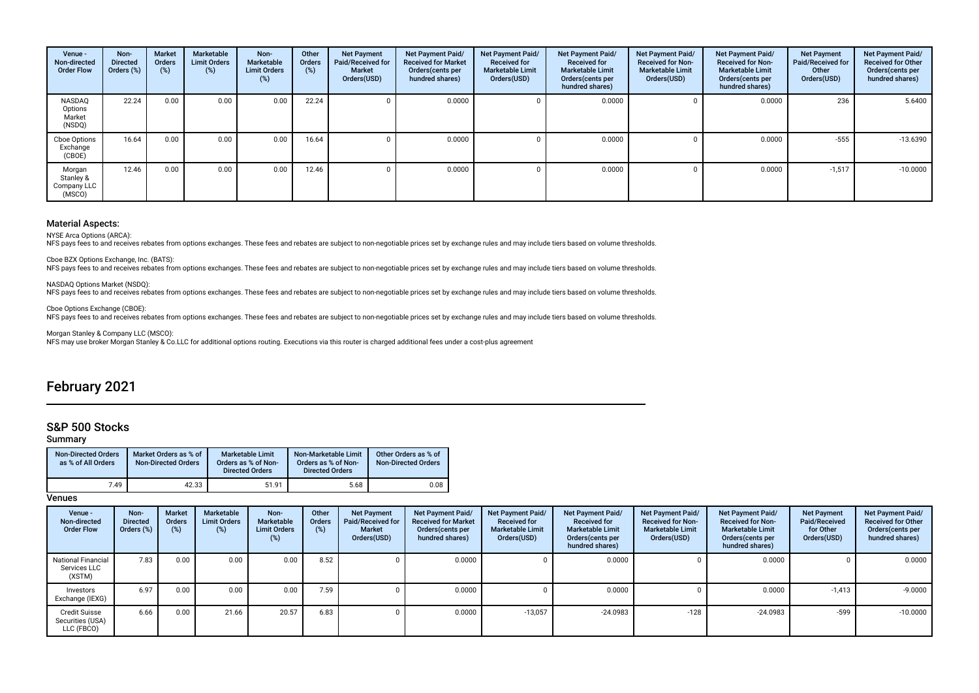| Venue -<br>Non-directed<br><b>Order Flow</b> | Non-<br><b>Directed</b><br>Orders (%) | <b>Market</b><br><b>Orders</b><br>$(\%)$ | Marketable<br><b>Limit Orders</b><br>$(\%)$ | Non-<br>Marketable<br><b>Limit Orders</b><br>(%) | Other<br>Orders<br>(%) | <b>Net Payment</b><br>Paid/Received for<br><b>Market</b><br>Orders(USD) | Net Payment Paid/<br><b>Received for Market</b><br>Orders(cents per<br>hundred shares) | Net Payment Paid/<br><b>Received for</b><br><b>Marketable Limit</b><br>Orders(USD) | Net Payment Paid/<br><b>Received for</b><br><b>Marketable Limit</b><br>Orders(cents per<br>hundred shares) | Net Payment Paid/<br><b>Received for Non-</b><br><b>Marketable Limit</b><br>Orders(USD) | <b>Net Payment Paid/</b><br><b>Received for Non-</b><br><b>Marketable Limit</b><br>Orders(cents per<br>hundred shares) | <b>Net Payment</b><br>Paid/Received for<br>Other<br>Orders(USD) | Net Payment Paid/<br><b>Received for Other</b><br>Orders (cents per<br>hundred shares) |
|----------------------------------------------|---------------------------------------|------------------------------------------|---------------------------------------------|--------------------------------------------------|------------------------|-------------------------------------------------------------------------|----------------------------------------------------------------------------------------|------------------------------------------------------------------------------------|------------------------------------------------------------------------------------------------------------|-----------------------------------------------------------------------------------------|------------------------------------------------------------------------------------------------------------------------|-----------------------------------------------------------------|----------------------------------------------------------------------------------------|
| NASDAQ<br>Options<br>Market<br>(NSDQ)        | 22.24                                 | 0.00                                     | 0.00                                        | 0.00                                             | 22.24                  |                                                                         | 0.0000                                                                                 |                                                                                    | 0.0000                                                                                                     |                                                                                         | 0.0000                                                                                                                 | 236                                                             | 5.6400                                                                                 |
| Cboe Options<br>Exchange<br>(CBOE)           | 16.64                                 | 0.00                                     | 0.00                                        | 0.00                                             | 16.64                  |                                                                         | 0.0000                                                                                 |                                                                                    | 0.0000                                                                                                     |                                                                                         | 0.0000                                                                                                                 | $-555$                                                          | $-13.6390$                                                                             |
| Morgan<br>Stanley &<br>Company LLC<br>(MSCO) | 12.46                                 | 0.00                                     | 0.00                                        | 0.00                                             | 12.46                  |                                                                         | 0.0000                                                                                 |                                                                                    | 0.0000                                                                                                     |                                                                                         | 0.0000                                                                                                                 | $-1,517$                                                        | $-10.0000$                                                                             |

NYSE Arca Options (ARCA):

NFS pays fees to and receives rebates from options exchanges. These fees and rebates are subject to non-negotiable prices set by exchange rules and may include tiers based on volume thresholds.

Cboe BZX Options Exchange, Inc. (BATS):

NFS pays fees to and receives rebates from options exchanges. These fees and rebates are subject to non-negotiable prices set by exchange rules and may include tiers based on volume thresholds.

NASDAQ Options Market (NSDQ):<br>NFS pays fees to and receives rebates from options exchanges. These fees and rebates are subject to non-negotiable prices set by exchange rules and may include tiers based on volume thresholds

Cboe Options Exchange (CBOE):

NFS pays fees to and receives rebates from options exchanges. These fees and rebates are subject to non-negotiable prices set by exchange rules and may include tiers based on volume thresholds.

Morgan Stanley & Company LLC (MSCO):

NFS may use broker Morgan Stanley & Co.LLC for additional options routing. Executions via this router is charged additional fees under a cost-plus agreement

## February 2021

## S&P 500 Stocks

## Summary

| <b>Non-Directed Orders</b><br>as % of All Orders | Market Orders as % of<br><b>Non-Directed Orders</b> | <b>Marketable Limit</b><br>Orders as % of Non-<br><b>Directed Orders</b> | Non-Marketable Limit<br>Orders as % of Non-<br><b>Directed Orders</b> | Other Orders as % of<br><b>Non-Directed Orders</b> |
|--------------------------------------------------|-----------------------------------------------------|--------------------------------------------------------------------------|-----------------------------------------------------------------------|----------------------------------------------------|
| 7.49                                             | 42.33                                               | 51.91                                                                    | 5.68                                                                  | 0.08                                               |

| Venue -<br>Non-directed<br><b>Order Flow</b>           | Non-<br><b>Directed</b><br>Orders (%) | Market<br><b>Orders</b><br>(%) | Marketable<br><b>Limit Orders</b><br>(%) | Non-<br>Marketable<br><b>Limit Orders</b><br>$(\%)$ | Other<br><b>Orders</b><br>(%) | <b>Net Payment</b><br>Paid/Received for<br>Market<br>Orders(USD) | Net Payment Paid/<br><b>Received for Market</b><br>Orders(cents per<br>hundred shares) | Net Payment Paid/<br><b>Received for</b><br><b>Marketable Limit</b><br>Orders(USD) | Net Payment Paid/<br><b>Received for</b><br><b>Marketable Limit</b><br>Orders(cents per<br>hundred shares) | Net Payment Paid/<br><b>Received for Non-</b><br><b>Marketable Limit</b><br>Orders(USD) | Net Payment Paid/<br><b>Received for Non-</b><br><b>Marketable Limit</b><br>Orders(cents per<br>hundred shares) | <b>Net Payment</b><br>Paid/Received<br>for Other<br>Orders(USD) | Net Payment Paid/<br><b>Received for Other</b><br>Orders (cents per<br>hundred shares) |
|--------------------------------------------------------|---------------------------------------|--------------------------------|------------------------------------------|-----------------------------------------------------|-------------------------------|------------------------------------------------------------------|----------------------------------------------------------------------------------------|------------------------------------------------------------------------------------|------------------------------------------------------------------------------------------------------------|-----------------------------------------------------------------------------------------|-----------------------------------------------------------------------------------------------------------------|-----------------------------------------------------------------|----------------------------------------------------------------------------------------|
| <b>National Financial</b><br>Services LLC<br>(XSTM)    | 7.83                                  | 0.00                           | 0.00                                     | 0.00                                                | 8.52                          |                                                                  | 0.0000                                                                                 |                                                                                    | 0.0000                                                                                                     |                                                                                         | 0.0000                                                                                                          |                                                                 | 0.0000                                                                                 |
| Investors<br>Exchange (IEXG)                           | 6.97                                  | 0.00                           | 0.00                                     | 0.00                                                | 7.59                          |                                                                  | 0.0000                                                                                 |                                                                                    | 0.0000                                                                                                     |                                                                                         | 0.0000                                                                                                          | $-1,413$                                                        | $-9.0000$                                                                              |
| <b>Credit Suisse</b><br>Securities (USA)<br>LLC (FBCO) | 6.66                                  | 0.00                           | 21.66                                    | 20.57                                               | 6.83                          |                                                                  | 0.0000                                                                                 | $-13,057$                                                                          | $-24.0983$                                                                                                 | $-128$                                                                                  | $-24.0983$                                                                                                      | $-599$                                                          | $-10.0000$                                                                             |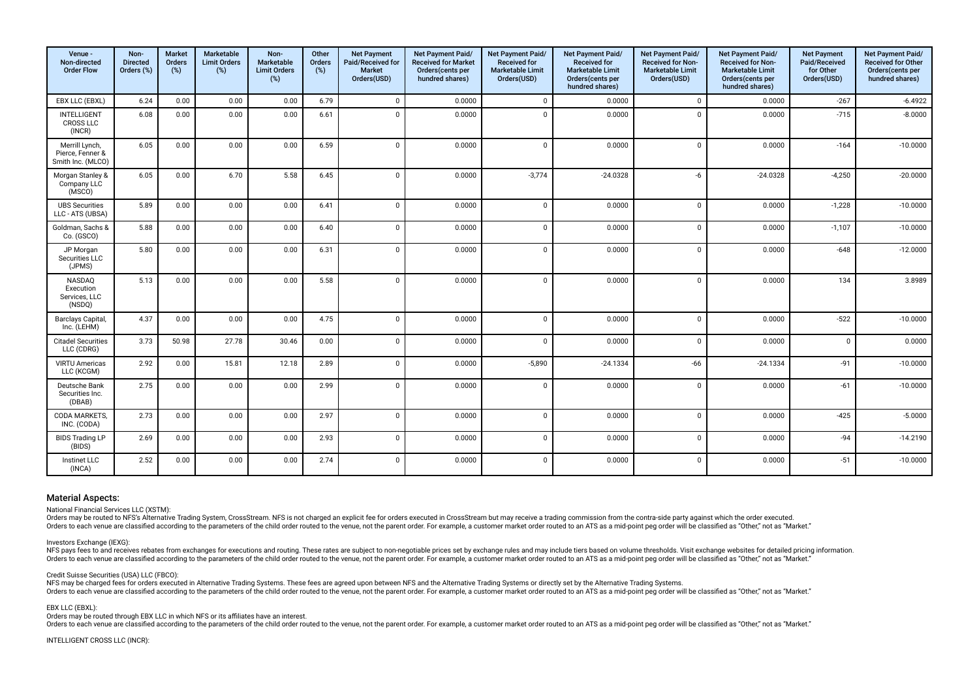| Venue -<br>Non-directed<br><b>Order Flow</b>            | Non-<br><b>Directed</b><br>Orders (%) | <b>Market</b><br>Orders<br>(%) | Marketable<br><b>Limit Orders</b><br>(%) | Non-<br><b>Marketable</b><br><b>Limit Orders</b><br>(%) | Other<br>Orders<br>(%) | <b>Net Payment</b><br>Paid/Received for<br>Market<br>Orders(USD) | Net Payment Paid/<br><b>Received for Market</b><br>Orders(cents per<br>hundred shares) | <b>Net Payment Paid/</b><br><b>Received for</b><br><b>Marketable Limit</b><br>Orders(USD) | Net Payment Paid/<br><b>Received for</b><br><b>Marketable Limit</b><br>Orders(cents per<br>hundred shares) | Net Payment Paid/<br>Received for Non-<br><b>Marketable Limit</b><br>Orders(USD) | Net Payment Paid/<br><b>Received for Non-</b><br><b>Marketable Limit</b><br>Orders(cents per<br>hundred shares) | <b>Net Payment</b><br>Paid/Received<br>for Other<br>Orders(USD) | Net Payment Paid/<br>Received for Other<br>Orders(cents per<br>hundred shares) |
|---------------------------------------------------------|---------------------------------------|--------------------------------|------------------------------------------|---------------------------------------------------------|------------------------|------------------------------------------------------------------|----------------------------------------------------------------------------------------|-------------------------------------------------------------------------------------------|------------------------------------------------------------------------------------------------------------|----------------------------------------------------------------------------------|-----------------------------------------------------------------------------------------------------------------|-----------------------------------------------------------------|--------------------------------------------------------------------------------|
| EBX LLC (EBXL)                                          | 6.24                                  | 0.00                           | 0.00                                     | 0.00                                                    | 6.79                   | $\mathbf{0}$                                                     | 0.0000                                                                                 | $\mathbf 0$                                                                               | 0.0000                                                                                                     | $\mathbf 0$                                                                      | 0.0000                                                                                                          | $-267$                                                          | $-6.4922$                                                                      |
| <b>INTELLIGENT</b><br><b>CROSS LLC</b><br>(INCR)        | 6.08                                  | 0.00                           | 0.00                                     | 0.00                                                    | 6.61                   | $\Omega$                                                         | 0.0000                                                                                 | $\mathbf 0$                                                                               | 0.0000                                                                                                     | $\mathbf 0$                                                                      | 0.0000                                                                                                          | $-715$                                                          | $-8.0000$                                                                      |
| Merrill Lynch,<br>Pierce, Fenner &<br>Smith Inc. (MLCO) | 6.05                                  | 0.00                           | 0.00                                     | 0.00                                                    | 6.59                   | $\Omega$                                                         | 0.0000                                                                                 | $\Omega$                                                                                  | 0.0000                                                                                                     | $\Omega$                                                                         | 0.0000                                                                                                          | $-164$                                                          | $-10.0000$                                                                     |
| Morgan Stanley &<br>Company LLC<br>(MSCO)               | 6.05                                  | 0.00                           | 6.70                                     | 5.58                                                    | 6.45                   | $\Omega$                                                         | 0.0000                                                                                 | $-3,774$                                                                                  | $-24.0328$                                                                                                 | -6                                                                               | $-24.0328$                                                                                                      | $-4,250$                                                        | $-20.0000$                                                                     |
| <b>UBS Securities</b><br>LLC - ATS (UBSA)               | 5.89                                  | 0.00                           | 0.00                                     | 0.00                                                    | 6.41                   | $\Omega$                                                         | 0.0000                                                                                 | $\mathbf{0}$                                                                              | 0.0000                                                                                                     | $\Omega$                                                                         | 0.0000                                                                                                          | $-1,228$                                                        | $-10.0000$                                                                     |
| Goldman, Sachs &<br>Co. (GSCO)                          | 5.88                                  | 0.00                           | 0.00                                     | 0.00                                                    | 6.40                   | $\Omega$                                                         | 0.0000                                                                                 | $\mathbf{0}$                                                                              | 0.0000                                                                                                     | $\mathbf 0$                                                                      | 0.0000                                                                                                          | $-1,107$                                                        | $-10.0000$                                                                     |
| JP Morgan<br>Securities LLC<br>(JPMS)                   | 5.80                                  | 0.00                           | 0.00                                     | 0.00                                                    | 6.31                   | $\Omega$                                                         | 0.0000                                                                                 | $\mathbf{0}$                                                                              | 0.0000                                                                                                     | $\mathbf 0$                                                                      | 0.0000                                                                                                          | $-648$                                                          | $-12.0000$                                                                     |
| NASDAQ<br>Execution<br>Services, LLC<br>(NSDQ)          | 5.13                                  | 0.00                           | 0.00                                     | 0.00                                                    | 5.58                   | $\Omega$                                                         | 0.0000                                                                                 | $\mathbf{0}$                                                                              | 0.0000                                                                                                     | $\mathbf 0$                                                                      | 0.0000                                                                                                          | 134                                                             | 3.8989                                                                         |
| <b>Barclays Capital</b><br>Inc. (LEHM)                  | 4.37                                  | 0.00                           | 0.00                                     | 0.00                                                    | 4.75                   | $\Omega$                                                         | 0.0000                                                                                 | $\mathbf{0}$                                                                              | 0.0000                                                                                                     | $\Omega$                                                                         | 0.0000                                                                                                          | $-522$                                                          | $-10.0000$                                                                     |
| <b>Citadel Securities</b><br>LLC (CDRG)                 | 3.73                                  | 50.98                          | 27.78                                    | 30.46                                                   | 0.00                   | $\Omega$                                                         | 0.0000                                                                                 | $\Omega$                                                                                  | 0.0000                                                                                                     | $\Omega$                                                                         | 0.0000                                                                                                          | $\Omega$                                                        | 0.0000                                                                         |
| <b>VIRTU Americas</b><br>LLC (KCGM)                     | 2.92                                  | 0.00                           | 15.81                                    | 12.18                                                   | 2.89                   | $\Omega$                                                         | 0.0000                                                                                 | $-5,890$                                                                                  | $-24.1334$                                                                                                 | $-66$                                                                            | $-24.1334$                                                                                                      | $-91$                                                           | $-10.0000$                                                                     |
| Deutsche Bank<br>Securities Inc.<br>(DBAB)              | 2.75                                  | 0.00                           | 0.00                                     | 0.00                                                    | 2.99                   | $\Omega$                                                         | 0.0000                                                                                 | $\mathbf{0}$                                                                              | 0.0000                                                                                                     | $\mathbf 0$                                                                      | 0.0000                                                                                                          | $-61$                                                           | $-10.0000$                                                                     |
| CODA MARKETS,<br>INC. (CODA)                            | 2.73                                  | 0.00                           | 0.00                                     | 0.00                                                    | 2.97                   | $\Omega$                                                         | 0.0000                                                                                 | $\mathbf{0}$                                                                              | 0.0000                                                                                                     | $\mathbf 0$                                                                      | 0.0000                                                                                                          | $-425$                                                          | $-5.0000$                                                                      |
| <b>BIDS Trading LP</b><br>(BIDS)                        | 2.69                                  | 0.00                           | 0.00                                     | 0.00                                                    | 2.93                   | $\Omega$                                                         | 0.0000                                                                                 | $\mathbf{0}$                                                                              | 0.0000                                                                                                     | $\mathbf 0$                                                                      | 0.0000                                                                                                          | $-94$                                                           | $-14.2190$                                                                     |
| Instinet LLC<br>(INCA)                                  | 2.52                                  | 0.00                           | 0.00                                     | 0.00                                                    | 2.74                   | $\Omega$                                                         | 0.0000                                                                                 | $\mathbf{0}$                                                                              | 0.0000                                                                                                     | $\mathbf 0$                                                                      | 0.0000                                                                                                          | $-51$                                                           | $-10.0000$                                                                     |

National Financial Services LLC (XSTM):

Orders may be routed to NFS's Alternative Trading System, CrossStream. NFS is not charged an explicit fee for orders executed in CrossStream but may receive a trading commission from the contra-side party against which the Orders to each venue are classified according to the parameters of the child order routed to the venue, not the paramet order. For example, a customer market order routed to an ATS as a mid-point peg order will be classifi

## Investors Exchange (IEXG):

NFS pays fees to and receives rebates from exchanges for executions and routing. These rates are subject to non-negotiable prices set by exchange rules and may include tiers based on volume thresholds. Visit exchange websi Orders to each venue are classified according to the parameters of the child order routed to the venue, not the parent order. For example, a customer market order routed to an ATS as a mid-point peo order will be classifie

#### Credit Suisse Securities (USA) LLC (FBCO):

NFS may be charged fees for orders executed in Alternative Trading Systems. These fees are agreed upon between NFS and the Alternative Trading Systems or directly set by the Alternative Trading Systems or directly set by t Orders to each venue are classified according to the parameters of the child order routed to the venue, not the paramet order. For example, a customer market order routed to an ATS as a mid-point peg order will be classifi

## EBX LLC (EBXL):

Orders may be routed through EBX LLC in which NFS or its afliates have an interest.

orders to each venue are classified according to the parameters of the child order routed to the venue, not the parent order. For example, a customer market order routed to an ATS as a mid-point peq order will be classifie

INTELLIGENT CROSS LLC (INCR):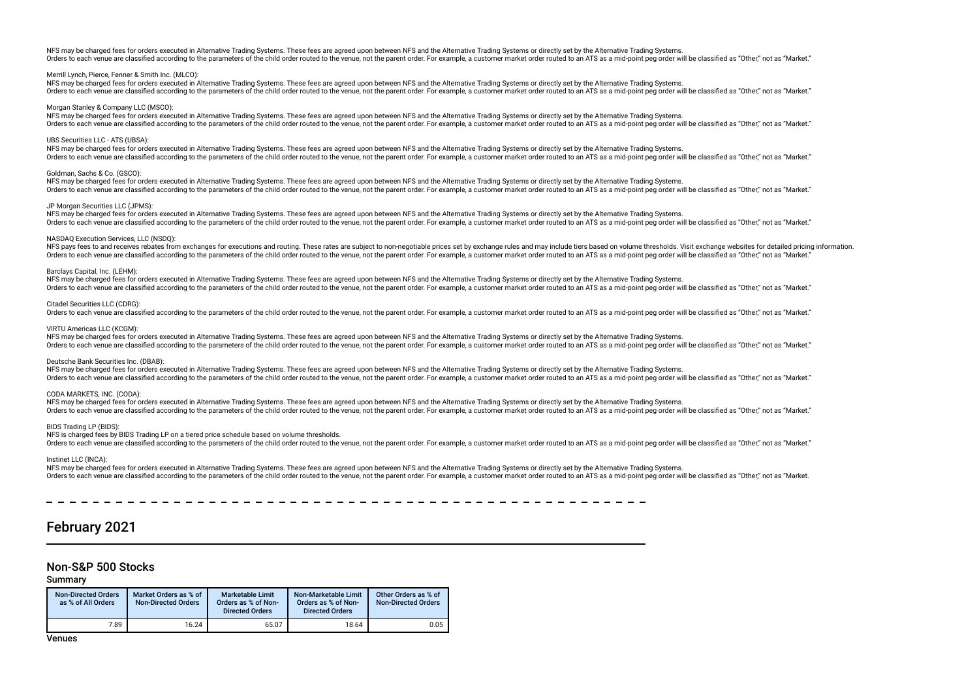NFS may be charged fees for orders executed in Alternative Trading Systems. These fees are agreed upon between NFS and the Alternative Trading Systems or directly set by the Alternative Trading Systems. Orders to each venue are classified according to the parameters of the child order routed to the venue, not the parent order. For example, a customer market order routed to an ATS as a mid-point peg order will be classifie

## Merrill Lynch, Pierce, Fenner & Smith Inc. (MLCO):

NFS may be charged fees for orders executed in Alternative Trading Systems. These fees are agreed upon between NFS and the Alternative Trading Systems or directly set by the Alternative Trading Systems. Orders to each venue are classified according to the parameters of the child order routed to the venue, not the parent order. For example, a customer market order routed to an ATS as a mid-point peg order will be classifie

## Morgan Stanley & Company LLC (MSCO):

NFS may be charged fees for orders executed in Alternative Trading Systems. These fees are agreed upon between NFS and the Alternative Trading Systems or directly set by the Alternative Trading Systems. Orders to each venue are classified according to the parameters of the child order routed to the venue, not the parent order. For example, a customer market order routed to an ATS as a mid-point peg order will be classifie

## UBS Securities LLC - ATS (UBSA):

NFS may be charged fees for orders executed in Alternative Trading Systems. These fees are agreed upon between NFS and the Alternative Trading Systems or directly set by the Alternative Trading Systems. Orders to each venue are classified according to the parameters of the child order routed to the venue, not the parent order. For example, a customer market order routed to an ATS as a mid-point peg order will be classifie

## Goldman, Sachs & Co. (GSCO):

NFS may be charged fees for orders executed in Alternative Trading Systems. These fees are agreed upon between NFS and the Alternative Trading Systems or directly set by the Alternative Trading Systems. Orders to each venue are classified according to the parameters of the child order routed to the venue, not the parent order. For example, a customer market order routed to an ATS as a mid-point peg order will be classifie

## JP Morgan Securities LLC (JPMS):

NFS may be charged fees for orders executed in Alternative Trading Systems. These fees are agreed upon between NFS and the Alternative Trading Systems or directly set by the Alternative Trading Systems or directly set by t Orders to each venue are classified according to the parameters of the child order routed to the venue, not the parent order. For example, a customer market order routed to an ATS as a mid-point peg order will be classifie

## NASDAQ Execution Services, LLC (NSDQ):

NFS pays fees to and receives rebates from exchanges for executions and routing. These rates are subject to non-negotiable prices set by exchange rules and may include tiers based on volume thresholds. Visit exchange websi Orders to each venue are classified according to the parameters of the child order routed to the venue, not the parent order. For example, a customer market order routed to an ATS as a mid-point peg order will be classifie

## Barclays Capital, Inc. (LEHM):

NFS may be charged fees for orders executed in Alternative Trading Systems. These fees are agreed upon between NFS and the Alternative Trading Systems or directly set by the Alternative Trading Systems. Orders to each venue are classified according to the parameters of the child order routed to the venue, not the parent order. For example, a customer market order routed to an ATS as a mid-point peg order will be classifie

## Citadel Securities LLC (CDRG):

Orders to each venue are classified according to the parameters of the child order routed to the venue, not the parent order. For example, a customer market order routed to an ATS as a mid-point peg order will be classifie

### VIRTU Americas LLC (KCGM):

NFS may be charged fees for orders executed in Alternative Trading Systems. These fees are agreed upon between NFS and the Alternative Trading Systems or directly set by the Alternative Trading Systems or directly set by t The saided according to the parameters of the child order routed to the yenue not the parameter Soft and the version of the version of the parameter of the version of the school of the version of the school of the paramete

#### Deutsche Bank Securities Inc. (DBAB):

NFS may be charged fees for orders executed in Alternative Trading Systems. These fees are agreed upon between NFS and the Alternative Trading Systems or directly set by the Alternative Trading Systems. Orders to each venue are classified according to the parameters of the child order routed to the venue, not the parent order. For example, a customer market order routed to an ATS as a mid-point peg order will be classifie

#### CODA MARKETS, INC. (CODA):

NFS may be charged fees for orders executed in Alternative Trading Systems. These fees are agreed upon between NFS and the Alternative Trading Systems or directly set by the Alternative Trading Systems. Orders to each venue are classified according to the parameters of the child order routed to the venue, not the parent order. For example, a customer market order routed to an ATS as a mid-point peg order will be classifie

## BIDS Trading LP (BIDS):

NFS is charged fees by BIDS Trading LP on a tiered price schedule based on volume thresholds.

Orders to each venue are classified according to the parameters of the child order routed to the venue, not the parent order. For example, a customer market order routed to an ATS as a mid-point peg order will be classifie

#### Instinet LLC (INCA):

NFS may be charged fees for orders executed in Alternative Trading Systems. These fees are agreed upon between NFS and the Alternative Trading Systems or directly set by the Alternative Trading Systems. Orders to each venue are classified according to the parameters of the child order routed to the venue, not the parent order. For example, a customer market order routed to an ATS as a mid-point peq order will be classifie

## February 2021

## Non-S&P 500 Stocks

## Summary

| <b>Non-Directed Orders</b><br>as % of All Orders | Market Orders as % of<br><b>Non-Directed Orders</b> | <b>Marketable Limit</b><br>Orders as % of Non-<br><b>Directed Orders</b> | Non-Marketable Limit<br>Orders as % of Non-<br><b>Directed Orders</b> | Other Orders as % of<br><b>Non-Directed Orders</b> |
|--------------------------------------------------|-----------------------------------------------------|--------------------------------------------------------------------------|-----------------------------------------------------------------------|----------------------------------------------------|
| 7.89                                             | 16.24                                               | 65.07                                                                    | 18.64                                                                 | 0.05                                               |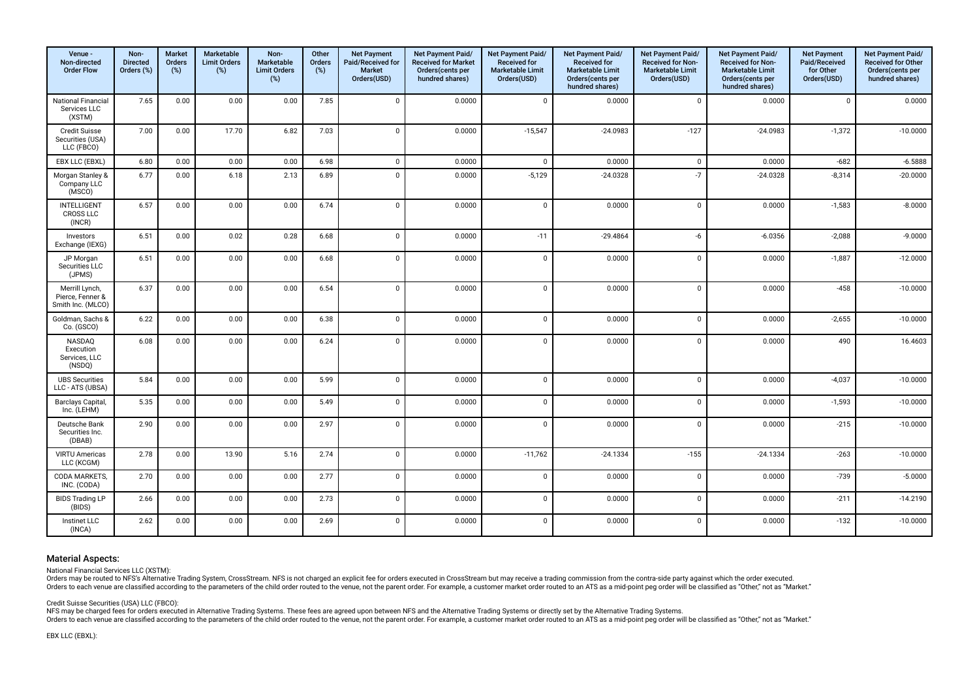| Venue -<br>Non-directed<br><b>Order Flow</b>            | Non-<br><b>Directed</b><br>Orders (%) | Market<br>Orders<br>(%) | Marketable<br><b>Limit Orders</b><br>(%) | Non-<br>Marketable<br><b>Limit Orders</b><br>(%) | Other<br>Orders<br>(%) | <b>Net Payment</b><br>Paid/Received for<br>Market<br>Orders(USD) | Net Payment Paid/<br><b>Received for Market</b><br>Orders(cents per<br>hundred shares) | Net Payment Paid/<br><b>Received for</b><br><b>Marketable Limit</b><br>Orders(USD) | Net Payment Paid/<br><b>Received for</b><br><b>Marketable Limit</b><br>Orders(cents per<br>hundred shares) | Net Payment Paid/<br>Received for Non-<br><b>Marketable Limit</b><br>Orders(USD) | Net Payment Paid/<br><b>Received for Non-</b><br><b>Marketable Limit</b><br>Orders(cents per<br>hundred shares) | <b>Net Payment</b><br>Paid/Received<br>for Other<br>Orders(USD) | Net Payment Paid/<br>Received for Other<br>Orders(cents per<br>hundred shares) |
|---------------------------------------------------------|---------------------------------------|-------------------------|------------------------------------------|--------------------------------------------------|------------------------|------------------------------------------------------------------|----------------------------------------------------------------------------------------|------------------------------------------------------------------------------------|------------------------------------------------------------------------------------------------------------|----------------------------------------------------------------------------------|-----------------------------------------------------------------------------------------------------------------|-----------------------------------------------------------------|--------------------------------------------------------------------------------|
| <b>National Financial</b><br>Services LLC<br>(XSTM)     | 7.65                                  | 0.00                    | 0.00                                     | 0.00                                             | 7.85                   | $\overline{0}$                                                   | 0.0000                                                                                 | $\mathbf{0}$                                                                       | 0.0000                                                                                                     | $\mathsf 0$                                                                      | 0.0000                                                                                                          | $\overline{0}$                                                  | 0.0000                                                                         |
| <b>Credit Suisse</b><br>Securities (USA)<br>LLC (FBCO)  | 7.00                                  | 0.00                    | 17.70                                    | 6.82                                             | 7.03                   | $\mathbf 0$                                                      | 0.0000                                                                                 | $-15,547$                                                                          | $-24.0983$                                                                                                 | $-127$                                                                           | $-24.0983$                                                                                                      | $-1,372$                                                        | $-10.0000$                                                                     |
| EBX LLC (EBXL)                                          | 6.80                                  | 0.00                    | 0.00                                     | 0.00                                             | 6.98                   | $\mathbf 0$                                                      | 0.0000                                                                                 | $\mathbf{0}$                                                                       | 0.0000                                                                                                     | $\mathsf 0$                                                                      | 0.0000                                                                                                          | $-682$                                                          | $-6.5888$                                                                      |
| Morgan Stanley &<br>Company LLC<br>(MSCO)               | 6.77                                  | 0.00                    | 6.18                                     | 2.13                                             | 6.89                   | $\Omega$                                                         | 0.0000                                                                                 | $-5,129$                                                                           | $-24.0328$                                                                                                 | $-7$                                                                             | $-24.0328$                                                                                                      | $-8,314$                                                        | $-20.0000$                                                                     |
| <b>INTELLIGENT</b><br><b>CROSS LLC</b><br>(INCR)        | 6.57                                  | 0.00                    | 0.00                                     | 0.00                                             | 6.74                   | $\overline{0}$                                                   | 0.0000                                                                                 | $\mathbf 0$                                                                        | 0.0000                                                                                                     | $\mathbf 0$                                                                      | 0.0000                                                                                                          | $-1,583$                                                        | $-8.0000$                                                                      |
| Investors<br>Exchange (IEXG)                            | 6.51                                  | 0.00                    | 0.02                                     | 0.28                                             | 6.68                   | $\mathbf 0$                                                      | 0.0000                                                                                 | $-11$                                                                              | $-29.4864$                                                                                                 | -6                                                                               | $-6.0356$                                                                                                       | $-2,088$                                                        | $-9.0000$                                                                      |
| JP Morgan<br>Securities LLC<br>(JPMS)                   | 6.51                                  | 0.00                    | 0.00                                     | 0.00                                             | 6.68                   | $\Omega$                                                         | 0.0000                                                                                 | $\mathbf 0$                                                                        | 0.0000                                                                                                     | $\mathbf 0$                                                                      | 0.0000                                                                                                          | $-1,887$                                                        | $-12.0000$                                                                     |
| Merrill Lynch,<br>Pierce, Fenner &<br>Smith Inc. (MLCO) | 6.37                                  | 0.00                    | 0.00                                     | 0.00                                             | 6.54                   | $\Omega$                                                         | 0.0000                                                                                 | $\overline{\mathbf{0}}$                                                            | 0.0000                                                                                                     | $\mathbf 0$                                                                      | 0.0000                                                                                                          | $-458$                                                          | $-10.0000$                                                                     |
| Goldman, Sachs &<br>Co. (GSCO)                          | 6.22                                  | 0.00                    | 0.00                                     | 0.00                                             | 6.38                   | $\mathbf 0$                                                      | 0.0000                                                                                 | $\mathbf 0$                                                                        | 0.0000                                                                                                     | $\mathsf 0$                                                                      | 0.0000                                                                                                          | $-2,655$                                                        | $-10.0000$                                                                     |
| NASDAQ<br>Execution<br>Services, LLC<br>(NSDQ)          | 6.08                                  | 0.00                    | 0.00                                     | 0.00                                             | 6.24                   | $\mathbf{0}$                                                     | 0.0000                                                                                 | $\mathbf 0$                                                                        | 0.0000                                                                                                     | $\mathbf 0$                                                                      | 0.0000                                                                                                          | 490                                                             | 16.4603                                                                        |
| <b>UBS Securities</b><br>LLC - ATS (UBSA)               | 5.84                                  | 0.00                    | 0.00                                     | 0.00                                             | 5.99                   | $\overline{0}$                                                   | 0.0000                                                                                 | $\mathbf 0$                                                                        | 0.0000                                                                                                     | $\mathsf 0$                                                                      | 0.0000                                                                                                          | $-4,037$                                                        | $-10.0000$                                                                     |
| Barclays Capital,<br>Inc. (LEHM)                        | 5.35                                  | 0.00                    | 0.00                                     | 0.00                                             | 5.49                   | $\Omega$                                                         | 0.0000                                                                                 | $\mathbf 0$                                                                        | 0.0000                                                                                                     | $\mathsf 0$                                                                      | 0.0000                                                                                                          | $-1,593$                                                        | $-10.0000$                                                                     |
| Deutsche Bank<br>Securities Inc.<br>(DBAB)              | 2.90                                  | 0.00                    | 0.00                                     | 0.00                                             | 2.97                   | $\mathbf 0$                                                      | 0.0000                                                                                 | $\mathbf{0}$                                                                       | 0.0000                                                                                                     | $\mathbf 0$                                                                      | 0.0000                                                                                                          | $-215$                                                          | $-10.0000$                                                                     |
| <b>VIRTU Americas</b><br>LLC (KCGM)                     | 2.78                                  | 0.00                    | 13.90                                    | 5.16                                             | 2.74                   | $\Omega$                                                         | 0.0000                                                                                 | $-11,762$                                                                          | $-24.1334$                                                                                                 | $-155$                                                                           | $-24.1334$                                                                                                      | $-263$                                                          | $-10.0000$                                                                     |
| CODA MARKETS,<br>INC. (CODA)                            | 2.70                                  | 0.00                    | 0.00                                     | 0.00                                             | 2.77                   | $\mathbf{0}$                                                     | 0.0000                                                                                 | $\mathbf 0$                                                                        | 0.0000                                                                                                     | $\mathsf 0$                                                                      | 0.0000                                                                                                          | $-739$                                                          | $-5.0000$                                                                      |
| <b>BIDS Trading LP</b><br>(BIDS)                        | 2.66                                  | 0.00                    | 0.00                                     | 0.00                                             | 2.73                   | $\mathbf 0$                                                      | 0.0000                                                                                 | $\mathbf 0$                                                                        | 0.0000                                                                                                     | $\mathsf 0$                                                                      | 0.0000                                                                                                          | $-211$                                                          | $-14.2190$                                                                     |
| <b>Instinet LLC</b><br>(INCA)                           | 2.62                                  | 0.00                    | 0.00                                     | 0.00                                             | 2.69                   | $\mathbf{0}$                                                     | 0.0000                                                                                 | $\mathbf 0$                                                                        | 0.0000                                                                                                     | $\mathsf 0$                                                                      | 0.0000                                                                                                          | $-132$                                                          | $-10.0000$                                                                     |

National Financial Services LLC (XSTM):

Orders may be routed to NFS's Alternative Trading System, CrossStream. NFS is not charged an explicit fee for orders executed in CrossStream but may receive a trading commission from the contra-side party against which the

Credit Suisse Securities (USA) LLC (FBCO):

NFS may be charged fees for orders executed in Alternative Trading Systems. These fees are agreed upon between NFS and the Alternative Trading Systems or directly set by the Alternative Trading Systems or directly set by t

Orders to each venue are classified according to the parameters of the child order routed to the venue, not the paramet order. For example, a customer market order routed to an ATS as a mid-point peg order will be classifi

EBX LLC (EBXL):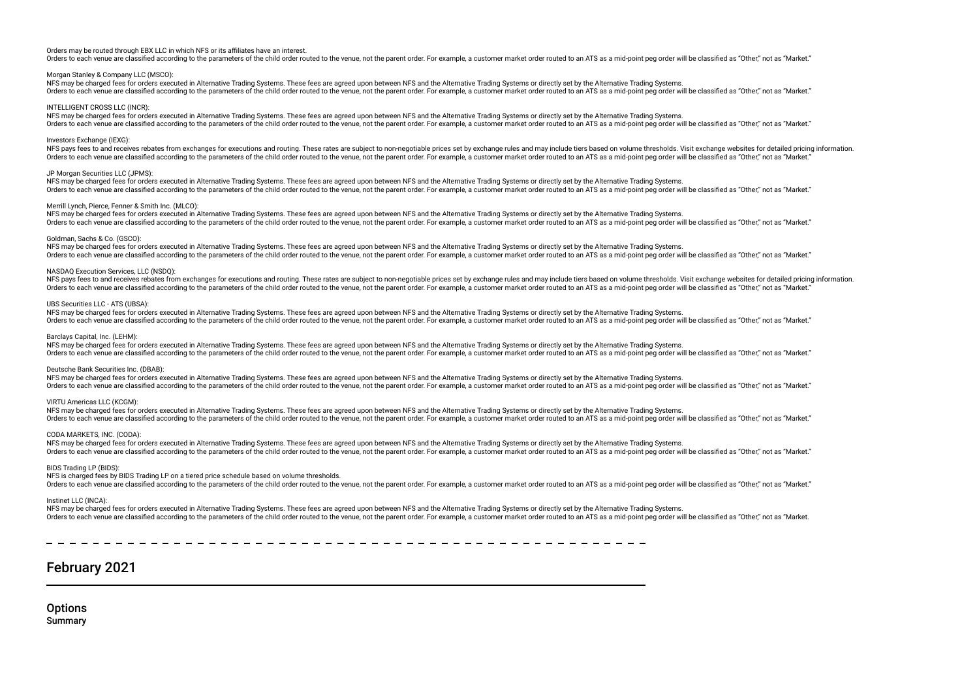## Orders may be routed through EBX LLC in which NFS or its afliates have an interest.

Orders to each venue are classified according to the parameters of the child order routed to the venue, not the parent order. For example, a customer market order routed to an ATS as a mid-point peg order will be classifie

## Morgan Stanley & Company LLC (MSCO):

NFS may be charged fees for orders executed in Alternative Trading Systems. These fees are agreed upon between NFS and the Alternative Trading Systems or directly set by the Alternative Trading Systems. Orders to each venue are classified according to the parameters of the child order routed to the venue, not the parent order. For example, a customer market order routed to an ATS as a mid-point peg order will be classifie

## INTELLIGENT CROSS LLC (INCR):

NFS may be charged fees for orders executed in Alternative Trading Systems. These fees are agreed upon between NFS and the Alternative Trading Systems or directly set by the Alternative Trading Systems. Orders to each venue are classified according to the parameters of the child order routed to the venue, not the parent order. For example, a customer market order routed to an ATS as a mid-point peg order will be classifie

## Investors Exchange (IEXG):

NFS pays fees to and receives rebates from exchanges for executions and routing. These rates are subject to non-negotiable prices set by exchange rules and may include tiers based on yolume thresholds. Visit exchange websi Orders to each venue are classified according to the parameters of the child order routed to the venue, not the parent order. For example, a customer market order routed to an ATS as a mid-point peg order will be classifie

## JP Morgan Securities LLC (JPMS):

NFS may be charged fees for orders executed in Alternative Trading Systems. These fees are agreed upon between NFS and the Alternative Trading Systems or directly set by the Alternative Trading Systems. Orders to each venue are classified according to the parameters of the child order routed to the venue, not the parent order. For example, a customer market order routed to an ATS as a mid-point peg order will be classifie

## Merrill Lynch, Pierce, Fenner & Smith Inc. (MLCO):

NFS may be charged fees for orders executed in Alternative Trading Systems. These fees are agreed upon between NFS and the Alternative Trading Systems or directly set by the Alternative Trading Systems or directly set by t Orders to each venue are classified according to the parameters of the child order routed to the venue, not the parent order. For example, a customer market order routed to an ATS as a mid-point peg order will be classifie

## Goldman, Sachs & Co. (GSCO):

NFS may be charged fees for orders executed in Alternative Trading Systems. These fees are agreed upon between NFS and the Alternative Trading Systems or directly set by the Alternative Trading Systems. Orders to each venue are classified according to the parameters of the child order routed to the venue, not the parent order. For example, a customer market order routed to an ATS as a mid-noint peg order will be classifie

## NASDAQ Execution Services, LLC (NSDQ):

NFS pays fees to and receives rebates from exchanges for executions and routing. These rates are subject to non-negotiable prices set by exchange rules and may include tiers based on yolume thresholds. Visit exchange websi Orders to each venue are classified according to the parameters of the child order routed to the venue, not the parent order. For example, a customer market order routed to an ATS as a mid-point peg order will be classifie

## UBS Securities LLC - ATS (UBSA):

NFS may be charged fees for orders executed in Alternative Trading Systems. These fees are agreed upon between NFS and the Alternative Trading Systems or directly set by the Alternative Trading Systems or directly set by t Orders to each venue are classified according to the parameters of the child order routed to the venue, not the parent order. For example, a customer market order routed to an ATS as a mid-point peg order will be classifie

## Barclays Capital, Inc. (LEHM):

NFS may be charged fees for orders executed in Alternative Trading Systems. These fees are agreed upon between NFS and the Alternative Trading Systems or directly set by the Alternative Trading Systems. Orders to each venue are classified according to the parameters of the child order routed to the yenue, not the parent order. For example, a customer market order routed to an ATS as a mid-point peg order will be classifie

## Deutsche Bank Securities Inc. (DBAB):

NFS may be charged fees for orders executed in Alternative Trading Systems. These fees are agreed upon between NFS and the Alternative Trading Systems or directly set by the Alternative Trading Systems. The saided according to the parameters of the child order routed to the yenue not the parameter Soft and the version of the version of the parameter of the version of the school of the version of the school of the paramete

## VIRTU Americas LLC (KCGM):

NFS may be charged fees for orders executed in Alternative Trading Systems. These fees are agreed upon between NFS and the Alternative Trading Systems or directly set by the Alternative Trading Systems or directly set by t Orders to each venue are classified according to the parameters of the child order routed to the venue, not the parent order. For example, a customer market order routed to an ATS as a mid-point peg order will be classifie

## CODA MARKETS, INC. (CODA):

NFS may be charged fees for orders executed in Alternative Trading Systems. These fees are agreed upon between NFS and the Alternative Trading Systems or directly set by the Alternative Trading Systems. Orders to each venue are classified according to the parameters of the child order routed to the venue, not the parent order. For example, a customer market order routed to an ATS as a mid-point peg order will be classifie

## BIDS Trading LP (BIDS)

NFS is charged fees by BIDS Trading LP on a tiered price schedule based on volume thresholds.

Orders to each venue are classified according to the parameters of the child order routed to the venue, not the parent order. For example, a customer market order routed to an ATS as a mid-point peg order will be classifie

## Instinet LLC (INCA):

NFS may be charged fees for orders executed in Alternative Trading Systems. These fees are agreed upon between NFS and the Alternative Trading Systems or directly set by the Alternative Trading Systems. Orders to each venue are classified according to the parameters of the child order routed to the venue, not the parent order. For example, a customer market order routed to an ATS as a mid-point peg order will be classifie

## February 2021

**Options** Summary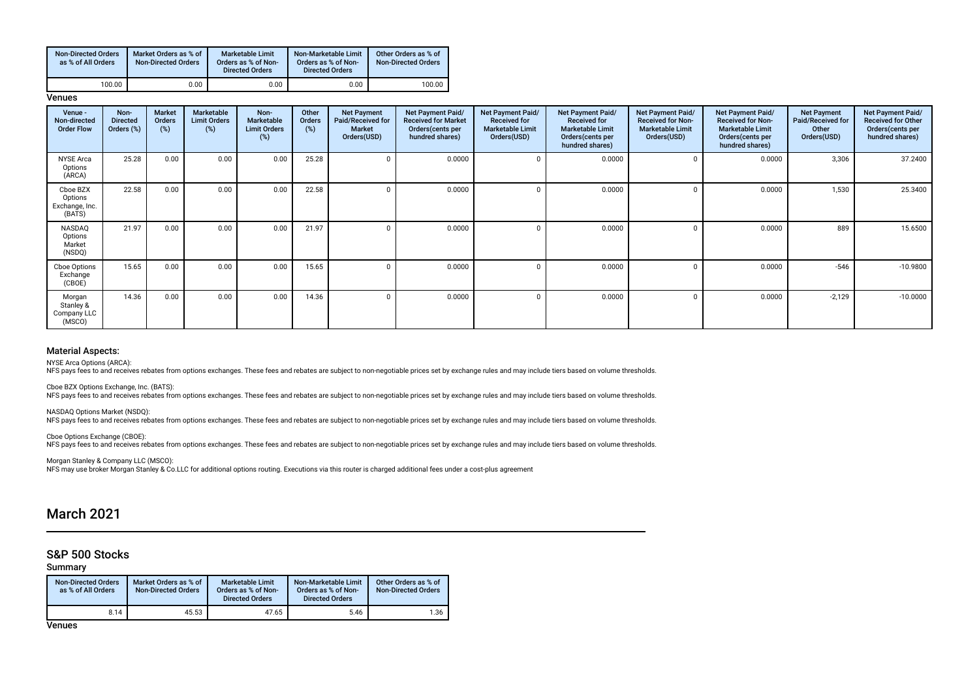| <b>Non-Directed Orders</b><br>as % of All Orders | Market Orders as % of<br><b>Non-Directed Orders</b> | <b>Marketable Limit</b><br>Orders as % of Non-<br><b>Directed Orders</b> | Non-Marketable Limit<br>Orders as % of Non-<br><b>Directed Orders</b> | Other Orders as % of<br><b>Non-Directed Orders</b> |
|--------------------------------------------------|-----------------------------------------------------|--------------------------------------------------------------------------|-----------------------------------------------------------------------|----------------------------------------------------|
| 100.00                                           | 0.00                                                | 0.00                                                                     | 0.00                                                                  | 100.00                                             |

**Venues** 

| Venue -<br>Non-directed<br><b>Order Flow</b>    | Non-<br><b>Directed</b><br>Orders (%) | Market<br>Orders<br>$(\%)$ | Marketable<br><b>Limit Orders</b><br>(%) | Non-<br><b>Marketable</b><br><b>Limit Orders</b><br>(%) | Other<br>Orders<br>(%) | <b>Net Payment</b><br>Paid/Received for<br><b>Market</b><br>Orders(USD) | <b>Net Payment Paid/</b><br><b>Received for Market</b><br>Orders (cents per<br>hundred shares) | Net Payment Paid/<br><b>Received for</b><br><b>Marketable Limit</b><br>Orders(USD) | Net Payment Paid/<br><b>Received for</b><br><b>Marketable Limit</b><br>Orders (cents per<br>hundred shares) | Net Payment Paid/<br><b>Received for Non-</b><br><b>Marketable Limit</b><br>Orders(USD) | <b>Net Payment Paid/</b><br><b>Received for Non-</b><br><b>Marketable Limit</b><br>Orders (cents per<br>hundred shares) | <b>Net Payment</b><br>Paid/Received for<br>Other<br>Orders(USD) | Net Payment Paid/<br><b>Received for Other</b><br>Orders(cents per<br>hundred shares) |
|-------------------------------------------------|---------------------------------------|----------------------------|------------------------------------------|---------------------------------------------------------|------------------------|-------------------------------------------------------------------------|------------------------------------------------------------------------------------------------|------------------------------------------------------------------------------------|-------------------------------------------------------------------------------------------------------------|-----------------------------------------------------------------------------------------|-------------------------------------------------------------------------------------------------------------------------|-----------------------------------------------------------------|---------------------------------------------------------------------------------------|
| <b>NYSE Arca</b><br>Options<br>(ARCA)           | 25.28                                 | 0.00                       | 0.00                                     | 0.00                                                    | 25.28                  | 0                                                                       | 0.0000                                                                                         |                                                                                    | 0.0000                                                                                                      |                                                                                         | 0.0000                                                                                                                  | 3,306                                                           | 37.2400                                                                               |
| Cboe BZX<br>Options<br>Exchange, Inc.<br>(BATS) | 22.58                                 | 0.00                       | 0.00                                     | 0.00                                                    | 22.58                  | 0                                                                       | 0.0000                                                                                         |                                                                                    | 0.0000                                                                                                      |                                                                                         | 0.0000                                                                                                                  | 1,530                                                           | 25.3400                                                                               |
| NASDAQ<br>Options<br>Market<br>(NSDQ)           | 21.97                                 | 0.00                       | 0.00                                     | 0.00                                                    | 21.97                  | $\Omega$                                                                | 0.0000                                                                                         |                                                                                    | 0.0000                                                                                                      |                                                                                         | 0.0000                                                                                                                  | 889                                                             | 15.6500                                                                               |
| Cboe Options<br>Exchange<br>(CBOE)              | 15.65                                 | 0.00                       | 0.00                                     | 0.00                                                    | 15.65                  | $\Omega$                                                                | 0.0000                                                                                         |                                                                                    | 0.0000                                                                                                      |                                                                                         | 0.0000                                                                                                                  | $-546$                                                          | $-10.9800$                                                                            |
| Morgan<br>Stanley &<br>Company LLC<br>(MSCO)    | 14.36                                 | 0.00                       | 0.00                                     | 0.00                                                    | 14.36                  | 0                                                                       | 0.0000                                                                                         |                                                                                    | 0.0000                                                                                                      |                                                                                         | 0.0000                                                                                                                  | $-2,129$                                                        | $-10.0000$                                                                            |

## Material Aspects:

NYSE Arca Options (ARCA):

nco and receives rebates from options exchanges. These fees and rebates are subject to non-negotiable prices set by exchange rules and may include tiers based on volume thresholds.

Cboe BZX Options Exchange, Inc. (BATS):

NFS pays fees to and receives rebates from options exchanges. These fees and rebates are subject to non-negotiable prices set by exchange rules and may include tiers based on volume thresholds.

NASDAQ Options Market (NSDQ):

NFS pays fees to and receives rebates from options exchanges. These fees and rebates are subject to non-negotiable prices set by exchange rules and may include tiers based on volume thresholds.

Cboe Options Exchange (CBOE): NFS pays fees to and receives rebates from options exchanges. These fees and rebates are subject to non-negotiable prices set by exchange rules and may include tiers based on volume thresholds.

Morgan Stanley & Company LLC (MSCO): NFS may use broker Morgan Stanley & Co.LLC for additional options routing. Executions via this router is charged additional fees under a cost-plus agreement

## March 2021

## S&P 500 Stocks

## Summary

| <b>Non-Directed Orders</b><br>as % of All Orders | Market Orders as % of<br><b>Non-Directed Orders</b> | Marketable Limit<br>Orders as % of Non-<br><b>Directed Orders</b> | Non-Marketable Limit<br>Orders as % of Non-<br><b>Directed Orders</b> | Other Orders as % of<br>Non-Directed Orders |
|--------------------------------------------------|-----------------------------------------------------|-------------------------------------------------------------------|-----------------------------------------------------------------------|---------------------------------------------|
| 8.14                                             | 45.53                                               | 47.65                                                             | 5.46                                                                  | 1.36                                        |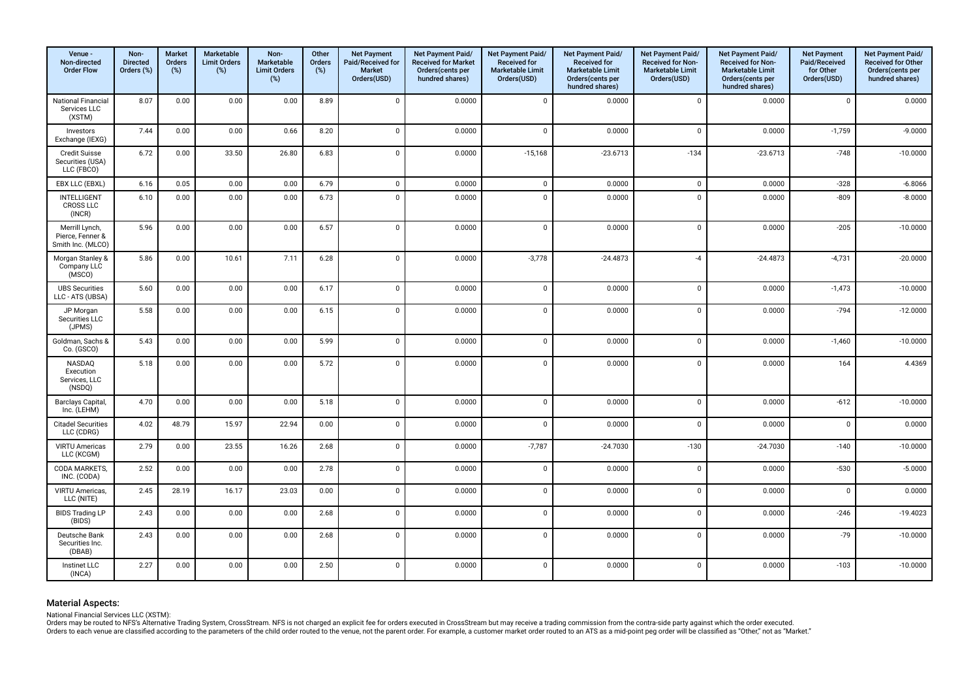| Venue -<br>Non-directed<br><b>Order Flow</b>            | Non-<br><b>Directed</b><br>Orders (%) | <b>Market</b><br>Orders<br>$(\%)$ | <b>Marketable</b><br><b>Limit Orders</b><br>(%) | Non-<br>Marketable<br><b>Limit Orders</b><br>(%) | Other<br><b>Orders</b><br>$(\%)$ | <b>Net Payment</b><br>Paid/Received for<br><b>Market</b><br>Orders(USD) | Net Payment Paid/<br><b>Received for Market</b><br>Orders(cents per<br>hundred shares) | Net Payment Paid/<br><b>Received for</b><br>Marketable Limit<br>Orders(USD) | Net Payment Paid/<br><b>Received for</b><br><b>Marketable Limit</b><br>Orders(cents per<br>hundred shares) | Net Payment Paid/<br><b>Received for Non-</b><br><b>Marketable Limit</b><br>Orders(USD) | Net Payment Paid/<br><b>Received for Non-</b><br><b>Marketable Limit</b><br>Orders(cents per<br>hundred shares) | <b>Net Payment</b><br>Paid/Received<br>for Other<br>Orders(USD) | Net Payment Paid/<br><b>Received for Other</b><br>Orders(cents per<br>hundred shares) |
|---------------------------------------------------------|---------------------------------------|-----------------------------------|-------------------------------------------------|--------------------------------------------------|----------------------------------|-------------------------------------------------------------------------|----------------------------------------------------------------------------------------|-----------------------------------------------------------------------------|------------------------------------------------------------------------------------------------------------|-----------------------------------------------------------------------------------------|-----------------------------------------------------------------------------------------------------------------|-----------------------------------------------------------------|---------------------------------------------------------------------------------------|
| <b>National Financial</b><br>Services LLC<br>(XSTM)     | 8.07                                  | 0.00                              | 0.00                                            | 0.00                                             | 8.89                             | $\mathbf 0$                                                             | 0.0000                                                                                 | $\mathbf 0$                                                                 | 0.0000                                                                                                     | $\mathbf 0$                                                                             | 0.0000                                                                                                          | $\mathbf 0$                                                     | 0.0000                                                                                |
| Investors<br>Exchange (IEXG)                            | 7.44                                  | 0.00                              | 0.00                                            | 0.66                                             | 8.20                             | $\mathsf 0$                                                             | 0.0000                                                                                 | $\mathbf 0$                                                                 | 0.0000                                                                                                     | $\mathsf 0$                                                                             | 0.0000                                                                                                          | $-1,759$                                                        | $-9.0000$                                                                             |
| Credit Suisse<br>Securities (USA)<br>LLC (FBCO)         | 6.72                                  | 0.00                              | 33.50                                           | 26.80                                            | 6.83                             | $\mathbf 0$                                                             | 0.0000                                                                                 | $-15,168$                                                                   | $-23.6713$                                                                                                 | $-134$                                                                                  | $-23.6713$                                                                                                      | $-748$                                                          | $-10.0000$                                                                            |
| EBX LLC (EBXL)                                          | 6.16                                  | 0.05                              | 0.00                                            | 0.00                                             | 6.79                             | $\mathbf 0$                                                             | 0.0000                                                                                 | $\mathbf 0$                                                                 | 0.0000                                                                                                     | $\mathsf 0$                                                                             | 0.0000                                                                                                          | $-328$                                                          | $-6.8066$                                                                             |
| <b>INTELLIGENT</b><br><b>CROSS LLC</b><br>(INCR)        | 6.10                                  | 0.00                              | 0.00                                            | 0.00                                             | 6.73                             | $\mathbf{0}$                                                            | 0.0000                                                                                 | $\mathbf 0$                                                                 | 0.0000                                                                                                     | $\mathbf 0$                                                                             | 0.0000                                                                                                          | $-809$                                                          | $-8.0000$                                                                             |
| Merrill Lynch,<br>Pierce, Fenner &<br>Smith Inc. (MLCO) | 5.96                                  | 0.00                              | 0.00                                            | 0.00                                             | 6.57                             | $\mathbf 0$                                                             | 0.0000                                                                                 | $\mathbf 0$                                                                 | 0.0000                                                                                                     | $\mathbf 0$                                                                             | 0.0000                                                                                                          | $-205$                                                          | $-10.0000$                                                                            |
| Morgan Stanley &<br>Company LLC<br>(MSCO)               | 5.86                                  | 0.00                              | 10.61                                           | 7.11                                             | 6.28                             | $\mathbf 0$                                                             | 0.0000                                                                                 | $-3,778$                                                                    | $-24.4873$                                                                                                 | $-4$                                                                                    | $-24.4873$                                                                                                      | $-4,731$                                                        | $-20.0000$                                                                            |
| <b>UBS Securities</b><br>LLC - ATS (UBSA)               | 5.60                                  | 0.00                              | 0.00                                            | 0.00                                             | 6.17                             | $\mathbf{0}$                                                            | 0.0000                                                                                 | $\mathbf 0$                                                                 | 0.0000                                                                                                     | $\mathsf 0$                                                                             | 0.0000                                                                                                          | $-1,473$                                                        | $-10.0000$                                                                            |
| JP Morgan<br>Securities LLC<br>(JPMS)                   | 5.58                                  | 0.00                              | 0.00                                            | 0.00                                             | 6.15                             | $\overline{0}$                                                          | 0.0000                                                                                 | $\mathbf 0$                                                                 | 0.0000                                                                                                     | $\mathbf 0$                                                                             | 0.0000                                                                                                          | $-794$                                                          | $-12.0000$                                                                            |
| Goldman, Sachs &<br>Co. (GSCO)                          | 5.43                                  | 0.00                              | 0.00                                            | 0.00                                             | 5.99                             | $\mathbf 0$                                                             | 0.0000                                                                                 | $\mathbf 0$                                                                 | 0.0000                                                                                                     | $\mathbf 0$                                                                             | 0.0000                                                                                                          | $-1,460$                                                        | $-10.0000$                                                                            |
| NASDAQ<br>Execution<br>Services, LLC<br>(NSDQ)          | 5.18                                  | 0.00                              | 0.00                                            | 0.00                                             | 5.72                             | $\mathbf 0$                                                             | 0.0000                                                                                 | $\mathbf 0$                                                                 | 0.0000                                                                                                     | $\mathbf 0$                                                                             | 0.0000                                                                                                          | 164                                                             | 4.4369                                                                                |
| Barclays Capital,<br>Inc. (LEHM)                        | 4.70                                  | 0.00                              | 0.00                                            | 0.00                                             | 5.18                             | $\mathbf 0$                                                             | 0.0000                                                                                 | $\mathbf 0$                                                                 | 0.0000                                                                                                     | $\mathbf 0$                                                                             | 0.0000                                                                                                          | $-612$                                                          | $-10.0000$                                                                            |
| <b>Citadel Securities</b><br>LLC (CDRG)                 | 4.02                                  | 48.79                             | 15.97                                           | 22.94                                            | 0.00                             | $\mathbf 0$                                                             | 0.0000                                                                                 | $\mathbf 0$                                                                 | 0.0000                                                                                                     | $\mathbf 0$                                                                             | 0.0000                                                                                                          | $\mathsf 0$                                                     | 0.0000                                                                                |
| <b>VIRTU Americas</b><br>LLC (KCGM)                     | 2.79                                  | 0.00                              | 23.55                                           | 16.26                                            | 2.68                             | $\overline{0}$                                                          | 0.0000                                                                                 | $-7,787$                                                                    | $-24.7030$                                                                                                 | $-130$                                                                                  | $-24.7030$                                                                                                      | $-140$                                                          | $-10.0000$                                                                            |
| CODA MARKETS,<br>INC. (CODA)                            | 2.52                                  | 0.00                              | 0.00                                            | 0.00                                             | 2.78                             | $\mathbf{0}$                                                            | 0.0000                                                                                 | $\mathbf 0$                                                                 | 0.0000                                                                                                     | $\mathbf 0$                                                                             | 0.0000                                                                                                          | $-530$                                                          | $-5.0000$                                                                             |
| VIRTU Americas,<br>LLC (NITE)                           | 2.45                                  | 28.19                             | 16.17                                           | 23.03                                            | 0.00                             | $\mathbf 0$                                                             | 0.0000                                                                                 | $\mathbf 0$                                                                 | 0.0000                                                                                                     | $\mathbf 0$                                                                             | 0.0000                                                                                                          | $\mathbf{0}$                                                    | 0.0000                                                                                |
| <b>BIDS Trading LP</b><br>(BIDS)                        | 2.43                                  | 0.00                              | 0.00                                            | 0.00                                             | 2.68                             | $\mathsf 0$                                                             | 0.0000                                                                                 | $\mathbf 0$                                                                 | 0.0000                                                                                                     | $\mathsf 0$                                                                             | 0.0000                                                                                                          | $-246$                                                          | $-19.4023$                                                                            |
| Deutsche Bank<br>Securities Inc.<br>(DBAB)              | 2.43                                  | 0.00                              | 0.00                                            | 0.00                                             | 2.68                             | $\overline{0}$                                                          | 0.0000                                                                                 | $\mathbf 0$                                                                 | 0.0000                                                                                                     | $\mathsf 0$                                                                             | 0.0000                                                                                                          | $-79$                                                           | $-10.0000$                                                                            |
| Instinet LLC<br>(INCA)                                  | 2.27                                  | 0.00                              | 0.00                                            | 0.00                                             | 2.50                             | $\mathbf{0}$                                                            | 0.0000                                                                                 | $\mathbf 0$                                                                 | 0.0000                                                                                                     | $\mathsf 0$                                                                             | 0.0000                                                                                                          | $-103$                                                          | $-10.0000$                                                                            |

National Financial Services LLC (XSTM):<br>Orders may be routed to NFS's Alternative Trading System, CrossStream. NFS is not charged an explicit fee for orders executed in CrossStream but may receive a trading commission from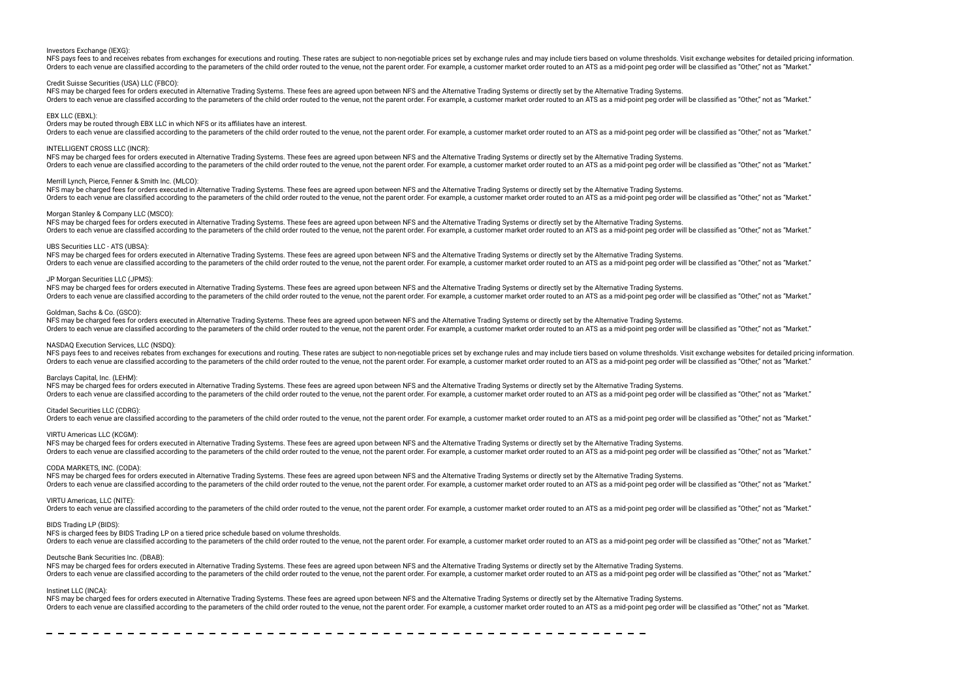#### Investors Exchange (IEXG):

NFS pays fees to and receives rebates from exchanges for executions and routing. These rates are subject to non-negotiable prices set by exchange rules and may include tiers based on volume thresholds. Visit exchange websi Orders to each venue are classified according to the parameters of the child order routed to the venue, not the parent order. For example, a customer market order routed to an ATS as a mid-point peg order will be classifie

### Credit Suisse Securities (USA) LLC (FBCO):

NFS may be charged fees for orders executed in Alternative Trading Systems. These fees are agreed upon between NFS and the Alternative Trading Systems or directly set by the Alternative Trading Systems. Orders to each venue are classified according to the parameters of the child order routed to the venue, not the parent order. For example, a customer market order routed to an ATS as a mid-point peg order will be classifie

#### EBX LLC (EBXL):

Orders may be routed through EBX LLC in which NFS or its afliates have an interest.

Orders to each venue are classified according to the parameters of the child order routed to the venue, not the parent order. For example, a customer market order routed to an ATS as a mid-point peg order will be classifie

## INTELLIGENT CROSS LLC (INCR):

NFS may be charged fees for orders executed in Alternative Trading Systems. These fees are agreed upon between NFS and the Alternative Trading Systems or directly set by the Alternative Trading Systems. Orders to each venue are classified according to the parameters of the child order routed to the venue, not the parent order. For example, a customer market order routed to an ATS as a mid-point peg order will be classifie

## Merrill Lynch, Pierce, Fenner & Smith Inc. (MLCO):

NFS may be charged fees for orders executed in Alternative Trading Systems. These fees are agreed upon between NFS and the Alternative Trading Systems or directly set by the Alternative Trading Systems. Orders to each venue are classified according to the parameters of the child order routed to the venue, not the parent order. For example, a customer market order routed to an ATS as a mid-point peg order will be classifie

## Morgan Stanley & Company LLC (MSCO):

NFS may be charged fees for orders executed in Alternative Trading Systems. These fees are agreed upon between NFS and the Alternative Trading Systems or directly set by the Alternative Trading Systems or directly set by t Orders to each venue are classified according to the parameters of the child order routed to the venue, not the parent order. For example, a customer market order routed to an ATS as a mid-point peg order will be classifie

#### UBS Securities LLC - ATS (UBSA):

NFS may be charged fees for orders executed in Alternative Trading Systems. These fees are agreed upon between NFS and the Alternative Trading Systems or directly set by the Alternative Trading Systems or directly set by t Orders to each venue are classified according to the parameters of the child order routed to the venue, not the parent order. For example, a customer market order routed to an ATS as a mid-point peq order will be classifie

## JP Morgan Securities LLC (JPMS):

NFS may be charged fees for orders executed in Alternative Trading Systems. These fees are agreed upon between NFS and the Alternative Trading Systems or directly set by the Alternative Trading Systems or directly set by t Orders to each venue are classified according to the parameters of the child order routed to the yenue, not the parent order. For example, a customer market order routed to an ATS as a mid-point peg order will be classifie

### Goldman, Sachs & Co. (GSCO):

NFS may be charged fees for orders executed in Alternative Trading Systems. These fees are agreed upon between NFS and the Alternative Trading Systems or directly set by the Alternative Trading Systems or directly set by t Orders to each venue are classified according to the parameters of the child order routed to the venue, not the parent order. For example, a customer market order routed to an ATS as a mid-point peg order will be classifie

## NASDAQ Execution Services, LLC (NSDQ):

NFS pays fees to and receives rebates from exchanges for executions and routing. These rates are subject to non-negotiable prices set by exchange rules and may include tiers based on yolume thresholds. Visit exchange websi Orders to each venue are classified according to the parameters of the child order routed to the venue, not the parent order. For example, a customer market order routed to an ATS as a mid-point peg order will be classifie

#### Barclays Capital, Inc. (LEHM):

NFS may be charged fees for orders executed in Alternative Trading Systems. These fees are agreed upon between NFS and the Alternative Trading Systems or directly set by the Alternative Trading Systems. Orders to each venue are classified according to the parameters of the child order routed to the venue, not the parent order. For example, a customer market order routed to an ATS as a mid-point peg order will be classifie

## Citadel Securities LLC (CDRG):

Orders to each venue are classified according to the parameters of the child order routed to the venue, not the parent order. For example, a customer market order routed to an ATS as a mid-point peg order will be classifie

## VIRTU Americas LLC (KCGM):

NFS may be charged fees for orders executed in Alternative Trading Systems. These fees are agreed upon between NFS and the Alternative Trading Systems or directly set by the Alternative Trading Systems. Orders to each venue are classified according to the parameters of the child order routed to the venue, not the parent order. For example, a customer market order routed to an ATS as a mid-point peg order will be classifie

## CODA MARKETS, INC. (CODA):

NFS may be charged fees for orders executed in Alternative Trading Systems. These fees are agreed upon between NFS and the Alternative Trading Systems or directly set by the Alternative Trading Systems. Orders to each venue are classified according to the parameters of the child order routed to the venue, not the parent order. For example, a customer market order routed to an ATS as a mid-point peg order will be classifie

#### VIRTU Americas, LLC (NITE):

Orders to each venue are classified according to the parameters of the child order routed to the venue, not the parent order. For example, a customer market order routed to an ATS as a mid-point peg order will be classifie

#### BIDS Trading LP (BIDS):

NFS is charged fees by BIDS Trading LP on a tiered price schedule based on volume thresholds.

The parameters of the property of the will order routed to the weller parameters of the while are the child order routed to the weller bare parameters of the parent order for example a customer market order routed to an AT

## Deutsche Bank Securities Inc. (DBAB):

NFS may be charged fees for orders executed in Alternative Trading Systems. These fees are agreed upon between NFS and the Alternative Trading Systems or directly set by the Alternative Trading Systems or directly set by t Orders to each venue are classified according to the parameters of the child order routed to the venue, not the parent order. For example, a customer market order routed to an ATS as a mid-point peg order will be classifie

#### Instinet LLC (INCA):

NFS may be charged fees for orders executed in Alternative Trading Systems. These fees are agreed upon between NFS and the Alternative Trading Systems or directly set by the Alternative Trading Systems or directly set by t Orders to each venue are classified according to the parameters of the child order routed to the venue, not the parent order. For example, a customer market order routed to an ATS as a mid-point peg order will be classifie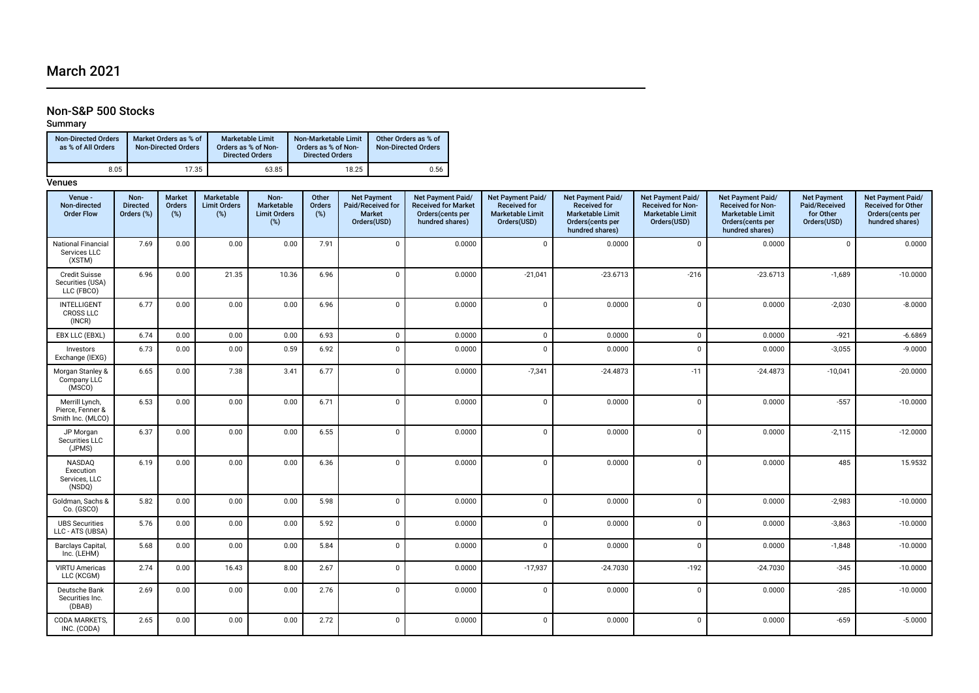## March 2021

## Non-S&P 500 Stocks

Summary

| <b>Non-Directed Orders</b><br>as % of All Orders | Market Orders as % of<br><b>Non-Directed Orders</b> | <b>Marketable Limit</b><br>Orders as % of Non-<br><b>Directed Orders</b> | Non-Marketable Limit<br>Orders as % of Non-<br><b>Directed Orders</b> | Other Orders as % of<br><b>Non-Directed Orders</b> |
|--------------------------------------------------|-----------------------------------------------------|--------------------------------------------------------------------------|-----------------------------------------------------------------------|----------------------------------------------------|
| 8.05                                             | 17.35                                               | 63.85                                                                    | 18.25                                                                 | 0.56                                               |

| Venue -<br>Non-directed<br><b>Order Flow</b>            | Non-<br><b>Directed</b><br>Orders (%) | <b>Market</b><br>Orders<br>(%) | Marketable<br><b>Limit Orders</b><br>(%) | Non-<br>Marketable<br><b>Limit Orders</b><br>$(\%)$ | Other<br>Orders<br>$(\%)$ | <b>Net Payment</b><br>Paid/Received for<br><b>Market</b><br>Orders(USD) | Net Payment Paid/<br><b>Received for Market</b><br>Orders(cents per<br>hundred shares) | Net Payment Paid/<br><b>Received for</b><br><b>Marketable Limit</b><br>Orders(USD) | Net Payment Paid/<br><b>Received for</b><br><b>Marketable Limit</b><br>Orders(cents per<br>hundred shares) | Net Payment Paid/<br><b>Received for Non-</b><br><b>Marketable Limit</b><br>Orders(USD) | Net Payment Paid/<br>Received for Non-<br><b>Marketable Limit</b><br>Orders(cents per<br>hundred shares) | <b>Net Payment</b><br>Paid/Received<br>for Other<br>Orders(USD) | Net Payment Paid/<br><b>Received for Other</b><br>Orders(cents per<br>hundred shares) |
|---------------------------------------------------------|---------------------------------------|--------------------------------|------------------------------------------|-----------------------------------------------------|---------------------------|-------------------------------------------------------------------------|----------------------------------------------------------------------------------------|------------------------------------------------------------------------------------|------------------------------------------------------------------------------------------------------------|-----------------------------------------------------------------------------------------|----------------------------------------------------------------------------------------------------------|-----------------------------------------------------------------|---------------------------------------------------------------------------------------|
| National Financial<br>Services LLC<br>(XSTM)            | 7.69                                  | 0.00                           | 0.00                                     | 0.00                                                | 7.91                      | $\Omega$                                                                | 0.0000                                                                                 | $\mathbf 0$                                                                        | 0.0000                                                                                                     | $\Omega$                                                                                | 0.0000                                                                                                   | $\Omega$                                                        | 0.0000                                                                                |
| <b>Credit Suisse</b><br>Securities (USA)<br>LLC (FBCO)  | 6.96                                  | 0.00                           | 21.35                                    | 10.36                                               | 6.96                      | $\Omega$                                                                | 0.0000                                                                                 | $-21,041$                                                                          | $-23.6713$                                                                                                 | $-216$                                                                                  | $-23.6713$                                                                                               | $-1,689$                                                        | $-10.0000$                                                                            |
| <b>INTELLIGENT</b><br><b>CROSS LLC</b><br>(INCR)        | 6.77                                  | 0.00                           | 0.00                                     | 0.00                                                | 6.96                      | $\Omega$                                                                | 0.0000                                                                                 | $\mathbf 0$                                                                        | 0.0000                                                                                                     | $\Omega$                                                                                | 0.0000                                                                                                   | $-2,030$                                                        | $-8.0000$                                                                             |
| EBX LLC (EBXL)                                          | 6.74                                  | 0.00                           | 0.00                                     | 0.00                                                | 6.93                      | $\Omega$                                                                | 0.0000                                                                                 | $\mathbf 0$                                                                        | 0.0000                                                                                                     | $\mathbf 0$                                                                             | 0.0000                                                                                                   | $-921$                                                          | $-6.6869$                                                                             |
| Investors<br>Exchange (IEXG)                            | 6.73                                  | 0.00                           | 0.00                                     | 0.59                                                | 6.92                      | $\Omega$                                                                | 0.0000                                                                                 | $\mathbf 0$                                                                        | 0.0000                                                                                                     | $\Omega$                                                                                | 0.0000                                                                                                   | $-3,055$                                                        | $-9.0000$                                                                             |
| Morgan Stanley &<br>Company LLC<br>(MSCO)               | 6.65                                  | 0.00                           | 7.38                                     | 3.41                                                | 6.77                      | $\Omega$                                                                | 0.0000                                                                                 | $-7,341$                                                                           | $-24.4873$                                                                                                 | $-11$                                                                                   | $-24.4873$                                                                                               | $-10,041$                                                       | $-20.0000$                                                                            |
| Merrill Lynch,<br>Pierce, Fenner &<br>Smith Inc. (MLCO) | 6.53                                  | 0.00                           | 0.00                                     | 0.00                                                | 6.71                      | $\Omega$                                                                | 0.0000                                                                                 | $\mathbf 0$                                                                        | 0.0000                                                                                                     | $\mathbf{0}$                                                                            | 0.0000                                                                                                   | $-557$                                                          | $-10.0000$                                                                            |
| JP Morgan<br>Securities LLC<br>(JPMS)                   | 6.37                                  | 0.00                           | 0.00                                     | 0.00                                                | 6.55                      | $\Omega$                                                                | 0.0000                                                                                 | $\mathbf 0$                                                                        | 0.0000                                                                                                     | $\Omega$                                                                                | 0.0000                                                                                                   | $-2,115$                                                        | $-12.0000$                                                                            |
| NASDAQ<br>Execution<br>Services, LLC<br>(NSDQ)          | 6.19                                  | 0.00                           | 0.00                                     | 0.00                                                | 6.36                      | $\Omega$                                                                | 0.0000                                                                                 | $\mathbf 0$                                                                        | 0.0000                                                                                                     | $\Omega$                                                                                | 0.0000                                                                                                   | 485                                                             | 15.9532                                                                               |
| Goldman, Sachs &<br>Co. (GSCO)                          | 5.82                                  | 0.00                           | 0.00                                     | 0.00                                                | 5.98                      | $\Omega$                                                                | 0.0000                                                                                 | $\mathbf 0$                                                                        | 0.0000                                                                                                     | $\Omega$                                                                                | 0.0000                                                                                                   | $-2,983$                                                        | $-10.0000$                                                                            |
| <b>UBS Securities</b><br>LLC - ATS (UBSA)               | 5.76                                  | 0.00                           | 0.00                                     | 0.00                                                | 5.92                      | $\Omega$                                                                | 0.0000                                                                                 | $\mathbf 0$                                                                        | 0.0000                                                                                                     | $\mathsf 0$                                                                             | 0.0000                                                                                                   | $-3,863$                                                        | $-10.0000$                                                                            |
| Barclays Capital,<br>Inc. (LEHM)                        | 5.68                                  | 0.00                           | 0.00                                     | 0.00                                                | 5.84                      | $\Omega$                                                                | 0.0000                                                                                 | $\mathbf 0$                                                                        | 0.0000                                                                                                     | $\Omega$                                                                                | 0.0000                                                                                                   | $-1,848$                                                        | $-10.0000$                                                                            |
| <b>VIRTU Americas</b><br>LLC (KCGM)                     | 2.74                                  | 0.00                           | 16.43                                    | 8.00                                                | 2.67                      | $\Omega$                                                                | 0.0000                                                                                 | $-17,937$                                                                          | $-24.7030$                                                                                                 | $-192$                                                                                  | $-24.7030$                                                                                               | $-345$                                                          | $-10.0000$                                                                            |
| Deutsche Bank<br>Securities Inc.<br>(DBAB)              | 2.69                                  | 0.00                           | 0.00                                     | 0.00                                                | 2.76                      | $\Omega$                                                                | 0.0000                                                                                 | $\mathbf 0$                                                                        | 0.0000                                                                                                     | $\Omega$                                                                                | 0.0000                                                                                                   | $-285$                                                          | $-10.0000$                                                                            |
| CODA MARKETS,<br>INC. (CODA)                            | 2.65                                  | 0.00                           | 0.00                                     | 0.00                                                | 2.72                      | $\Omega$                                                                | 0.0000                                                                                 | $\mathbf 0$                                                                        | 0.0000                                                                                                     | $\mathbf 0$                                                                             | 0.0000                                                                                                   | $-659$                                                          | $-5.0000$                                                                             |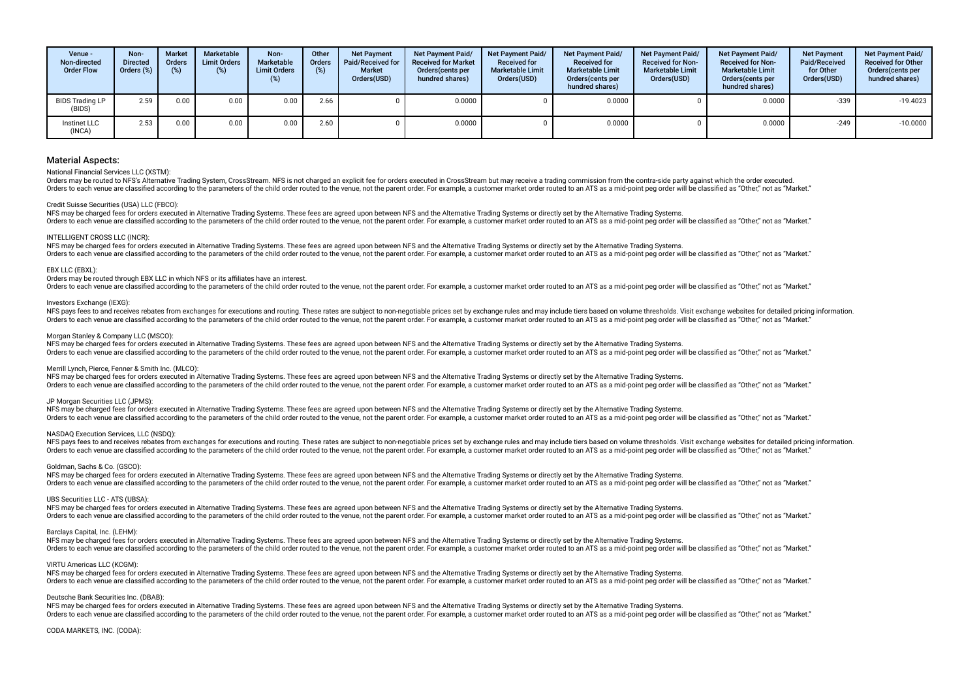| Venue -<br>Non-directed<br><b>Order Flow</b> | Non-<br><b>Directed</b><br>Orders $(\%)$ | <b>Market</b><br><b>Orders</b><br>(% ) | Marketable<br><b>Limit Orders</b><br>(%) | Non-<br>Marketable<br><b>Limit Orders</b><br>(%) | Other<br><b>Orders</b><br>(%) | <b>Net Payment</b><br>Paid/Received for<br><b>Market</b><br>Orders(USD) | <b>Net Payment Paid/</b><br><b>Received for Market</b><br>Orders(cents per<br>hundred shares) | Net Payment Paid/<br><b>Received for</b><br><b>Marketable Limit</b><br>Orders(USD) | <b>Net Payment Paid/</b><br><b>Received for</b><br><b>Marketable Limit</b><br>Orders(cents per<br>hundred shares) | <b>Net Payment Paid/</b><br><b>Received for Non-</b><br><b>Marketable Limit</b><br>Orders(USD) | <b>Net Payment Paid/</b><br><b>Received for Non-</b><br><b>Marketable Limit</b><br>Orders(cents per<br>hundred shares) | <b>Net Payment</b><br>Paid/Received<br>for Other<br>Orders(USD) | Net Payment Paid/<br><b>Received for Other</b><br>Orders(cents per<br>hundred shares) |
|----------------------------------------------|------------------------------------------|----------------------------------------|------------------------------------------|--------------------------------------------------|-------------------------------|-------------------------------------------------------------------------|-----------------------------------------------------------------------------------------------|------------------------------------------------------------------------------------|-------------------------------------------------------------------------------------------------------------------|------------------------------------------------------------------------------------------------|------------------------------------------------------------------------------------------------------------------------|-----------------------------------------------------------------|---------------------------------------------------------------------------------------|
| BIDS Trading LP<br>(BIDS)                    | 2.59                                     | 0.00                                   | 0.00                                     | 0.00                                             | 2.66                          |                                                                         | 0.0000                                                                                        |                                                                                    | 0.0000                                                                                                            |                                                                                                | 0.0000                                                                                                                 | $-339$                                                          | $-19.4023$                                                                            |
| Instinet LLC<br>(INCA)                       | 2.53                                     | 0.00                                   | 0.00                                     | 0.00                                             | 2.60                          |                                                                         | 0.0000                                                                                        |                                                                                    | 0.0000                                                                                                            |                                                                                                | 0.0000                                                                                                                 | $-249$                                                          | $-10.0000$                                                                            |

## National Financial Services LLC (XSTM):

Orders may be routed to NFS's Alternative Trading System, CrossStream, NFS is not charged an explicit fee for orders executed in CrossStream but may receive a trading commission from the contra-side party against which the Orders to each venue are classified according to the parameters of the child order routed to the venue, not the parent order. For example, a customer market order routed to an ATS as a mid-point peg order will be classifie

#### Credit Suisse Securities (USA) LLC (FBCO):

NFS may be charged fees for orders executed in Alternative Trading Systems. These fees are agreed upon between NFS and the Alternative Trading Systems or directly set by the Alternative Trading Systems. Orders to each venue are classified according to the parameters of the child order routed to the venue, not the parent order. For example, a customer market order routed to an ATS as a mid-point peg order will be classifie

## INTELLIGENT CROSS LLC (INCR):

NFS may be charged fees for orders executed in Alternative Trading Systems. These fees are agreed upon between NFS and the Alternative Trading Systems or directly set by the Alternative Trading Systems or directly set by t Orders to each venue are classified according to the parameters of the child order routed to the venue, not the parent order. For example, a customer market order routed to an ATS as a mid-point peg order will be classifie

## EBX LLC (EBXL):

Orders may be routed through EBX LLC in which NFS or its afliates have an interest.

Orders to each venue are classified according to the parameters of the child order routed to the venue, not the parent order. For example, a customer market order routed to an ATS as a mid-point peg order will be classifie

## Investors Exchange (IEXG):

NFS pays fees to and receives rebates from exchanges for executions and routing. These rates are subject to non-negotiable prices set by exchange rules and may include tiers based on volume thresholds. Visit exchange websi Orders to each venue are classified according to the parameters of the child order routed to the venue, not the parent order. For example, a customer market order routed to an ATS as a mid-point peg order will be classifie

#### Morgan Stanley & Company LLC (MSCO):

NFS may be charged fees for orders executed in Alternative Trading Systems. These fees are agreed upon between NFS and the Alternative Trading Systems or directly set by the Alternative Trading Systems or directly set by t Orders to each venue are classified according to the parameters of the child order routed to the venue, not the parent order. For example, a customer market order routed to an ATS as a mid-point peg order will be classifie

## Merrill Lynch, Pierce, Fenner & Smith Inc. (MLCO):

NFS may be charged fees for orders executed in Alternative Trading Systems. These fees are agreed upon between NFS and the Alternative Trading Systems or directly set by the Alternative Trading Systems. Orders to each venue are classified according to the parameters of the child order routed to the venue, not the parent order. For example, a customer market order routed to an ATS as a mid-point peg order will be classifie

## JP Morgan Securities LLC (JPMS):

NFS may be charged fees for orders executed in Alternative Trading Systems. These fees are agreed upon between NFS and the Alternative Trading Systems or directly set by the Alternative Trading Systems. Orders to each venue are classified according to the parameters of the child order routed to the venue, not the parent order. For example, a customer market order routed to an ATS as a mid-point peg order will be classifie

## NASDAQ Execution Services, LLC (NSDQ):

NFS pays fees to and receives rebates from exchanges for executions and routing. These rates are subject to non-negotiable prices set by exchange rules and may include tiers based on volume thresholds. Visit exchange websi Orders to each venue are classified according to the parameters of the child order routed to the venue, not the parent order. For example, a customer market order routed to an ATS as a mid-point peg order will be classifie

## Goldman, Sachs & Co. (GSCO):

NFS may be charged fees for orders executed in Alternative Trading Systems. These fees are agreed upon between NFS and the Alternative Trading Systems or directly set by the Alternative Trading Systems or directly set by t Orders to each venue are classified according to the parameters of the child order routed to the venue, not the parent order. For example, a customer market order routed to an ATS as a mid-point peg order will be classifie

## UBS Securities LLC - ATS (UBSA):

NFS may be charged fees for orders executed in Alternative Trading Systems. These fees are agreed upon between NFS and the Alternative Trading Systems or directly set by the Alternative Trading Systems. Orders to each venue are classified according to the parameters of the child order routed to the venue, not the parent order. For example, a customer market order routed to an ATS as a mid-point peg order will be classifie

### Barclays Capital, Inc. (LEHM):

NFS may be charged fees for orders executed in Alternative Trading Systems. These fees are agreed upon between NFS and the Alternative Trading Systems or directly set by the Alternative Trading Systems. Orders to each venue are classified according to the parameters of the child order routed to the venue, not the parent order. For example, a customer market order routed to an ATS as a mid-point peg order will be classifie

#### VIRTU Americas LLC (KCGM):

NFS may be charged fees for orders executed in Alternative Trading Systems. These fees are agreed upon between NFS and the Alternative Trading Systems or directly set by the Alternative Trading Systems or directly set by t Orders to each venue are classified according to the parameters of the child order routed to the venue, not the parent order. For example, a customer market order routed to an ATS as a mid-point peg order will be classifie

## Deutsche Bank Securities Inc. (DBAB):

NFS may be charged fees for orders executed in Alternative Trading Systems. These fees are agreed upon between NFS and the Alternative Trading Systems or directly set by the Alternative Trading Systems or directly set by t Orders to each venue are classified according to the parameters of the child order routed to the venue, not the parent order. For example, a customer market order routed to an ATS as a mid-point peg order will be classifie

#### CODA MARKETS, INC. (CODA):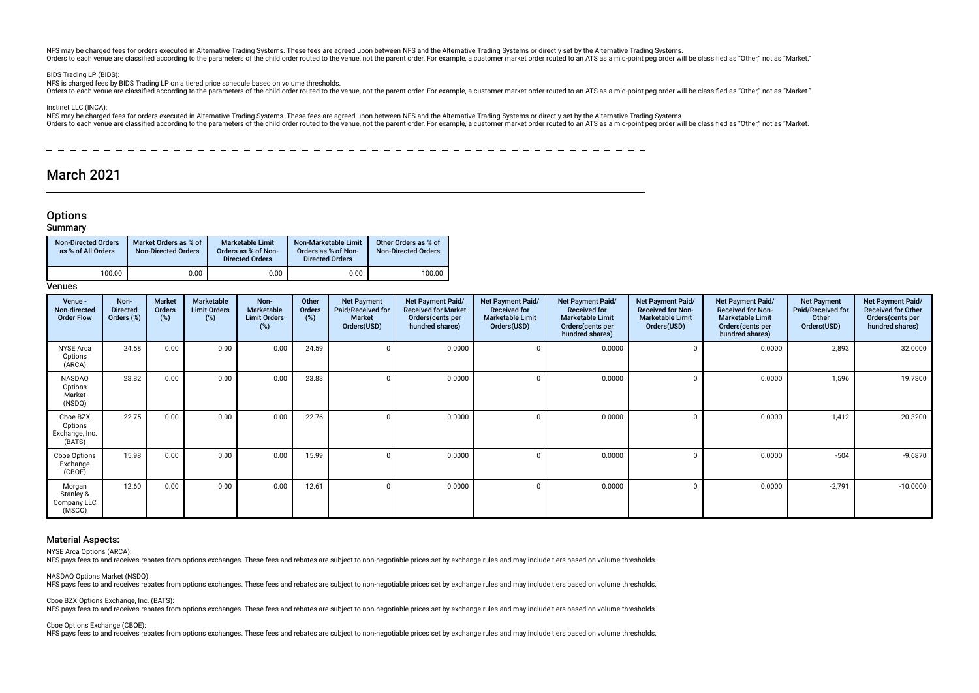NFS may be charged fees for orders executed in Alternative Trading Systems. These fees are agreed upon between NFS and the Alternative Trading Systems or directly set by the Alternative Trading Systems. Orders to each venue are classified according to the parameters of the child order routed to the venue, not the parent order. For example, a customer market order routed to an ATS as a mid-point peg order will be classifie

## BIDS Trading LP (BIDS)

NFS is charged fees by BIDS Trading LP on a tiered price schedule based on volume thresholds.

Orders to each venue are classified according to the parameters of the child order routed to the venue, not the paramet order. For example, a customer market order routed to an ATS as a mid-point peg order will be classifi

## Instinet LLC (INCA):

NFS may be charged fees for orders executed in Alternative Trading Systems. These fees are agreed upon between NFS and the Alternative Trading Systems or directly set by the Alternative Trading Systems or directly set by t Orders to each venue are classified according to the parameters of the child order routed to the venue, not the paramet order. For example, a customer market order routed to an ATS as a mid-point peq order will be classifi

## $-$

## March 2021

## **Options**

## Summary

| <b>Non-Directed Orders</b><br>as % of All Orders | Market Orders as % of<br><b>Non-Directed Orders</b> | <b>Marketable Limit</b><br>Orders as % of Non-<br><b>Directed Orders</b> | Non-Marketable Limit<br>Orders as % of Non-<br><b>Directed Orders</b> | Other Orders as % of<br><b>Non-Directed Orders</b> |
|--------------------------------------------------|-----------------------------------------------------|--------------------------------------------------------------------------|-----------------------------------------------------------------------|----------------------------------------------------|
| 100.00                                           | 0.00                                                | 0.00                                                                     | 0.00                                                                  | 100.00                                             |

## Venues

| Venue -<br>Non-directed<br><b>Order Flow</b>    | Non-<br><b>Directed</b><br>Orders (%) | Market<br>Orders<br>(%) | Marketable<br><b>Limit Orders</b><br>$(\%)$ | Non-<br><b>Marketable</b><br><b>Limit Orders</b><br>(%) | Other<br>Orders<br>$(\%)$ | <b>Net Payment</b><br>Paid/Received for<br><b>Market</b><br>Orders(USD) | <b>Net Payment Paid/</b><br><b>Received for Market</b><br>Orders(cents per<br>hundred shares) | Net Payment Paid/<br><b>Received for</b><br><b>Marketable Limit</b><br>Orders(USD) | Net Payment Paid/<br><b>Received for</b><br><b>Marketable Limit</b><br>Orders (cents per<br>hundred shares) | Net Payment Paid/<br><b>Received for Non-</b><br><b>Marketable Limit</b><br>Orders(USD) | <b>Net Payment Paid/</b><br><b>Received for Non-</b><br><b>Marketable Limit</b><br>Orders(cents per<br>hundred shares) | <b>Net Payment</b><br>Paid/Received for<br>Other<br>Orders(USD) | Net Payment Paid/<br><b>Received for Other</b><br>Orders(cents per<br>hundred shares) |
|-------------------------------------------------|---------------------------------------|-------------------------|---------------------------------------------|---------------------------------------------------------|---------------------------|-------------------------------------------------------------------------|-----------------------------------------------------------------------------------------------|------------------------------------------------------------------------------------|-------------------------------------------------------------------------------------------------------------|-----------------------------------------------------------------------------------------|------------------------------------------------------------------------------------------------------------------------|-----------------------------------------------------------------|---------------------------------------------------------------------------------------|
| <b>NYSE Arca</b><br>Options<br>(ARCA)           | 24.58                                 | 0.00                    | 0.00                                        | 0.00                                                    | 24.59                     |                                                                         | 0.0000                                                                                        | $\Omega$                                                                           | 0.0000                                                                                                      |                                                                                         | 0.0000                                                                                                                 | 2,893                                                           | 32.0000                                                                               |
| NASDAQ<br>Options<br>Market<br>(NSDQ)           | 23.82                                 | 0.00                    | 0.00                                        | 0.00                                                    | 23.83                     |                                                                         | 0.0000                                                                                        | $\Omega$                                                                           | 0.0000                                                                                                      |                                                                                         | 0.0000                                                                                                                 | 1,596                                                           | 19.7800                                                                               |
| Cboe BZX<br>Options<br>Exchange, Inc.<br>(BATS) | 22.75                                 | 0.00                    | 0.00                                        | 0.00                                                    | 22.76                     |                                                                         | 0.0000                                                                                        | n                                                                                  | 0.0000                                                                                                      |                                                                                         | 0.0000                                                                                                                 | 1,412                                                           | 20.3200                                                                               |
| Cboe Options<br>Exchange<br>(CBOE)              | 15.98                                 | 0.00                    | 0.00                                        | 0.00                                                    | 15.99                     |                                                                         | 0.0000                                                                                        | $\Omega$                                                                           | 0.0000                                                                                                      | n                                                                                       | 0.0000                                                                                                                 | $-504$                                                          | $-9.6870$                                                                             |
| Morgan<br>Stanley &<br>Company LLC<br>(MSCO)    | 12.60                                 | 0.00                    | 0.00                                        | 0.00                                                    | 12.61                     |                                                                         | 0.0000                                                                                        | $\Omega$                                                                           | 0.0000                                                                                                      |                                                                                         | 0.0000                                                                                                                 | $-2,791$                                                        | $-10.0000$                                                                            |

## Material Aspects:

NYSE Arca Options (ARCA):

NFS pays fees to and receives rebates from options exchanges. These fees and rebates are subject to non-negotiable prices set by exchange rules and may include tiers based on volume thresholds.

NASDAQ Options Market (NSDQ): NFS pays fees to and receives rebates from options exchanges. These fees and rebates are subject to non-negotiable prices set by exchange rules and may include tiers based on volume thresholds.

Cboe BZX Options Exchange, Inc. (BATS): NFS pays fees to and receives rebates from options exchanges. These fees and rebates are subject to non-negotiable prices set by exchange rules and may include tiers based on volume thresholds.

Cboe Options Exchange (CBOE):

NFS pays fees to and receives rebates from options exchanges. These fees and rebates are subject to non-negotiable prices set by exchange rules and may include tiers based on volume thresholds.